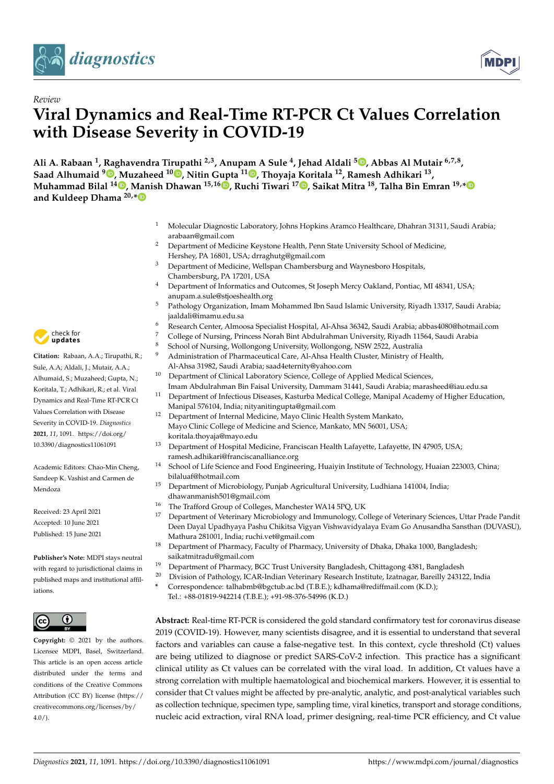

*Review*



# **Viral Dynamics and Real-Time RT-PCR Ct Values Correlation with Disease Severity in COVID-19**

**Ali A. Rabaan <sup>1</sup> , Raghavendra Tirupathi 2,3, Anupam A Sule <sup>4</sup> , Jehad Aldali <sup>5</sup> [,](https://orcid.org/0000-0003-1875-1315) Abbas Al Mutair 6,7,8 , Saad Alhumaid <sup>9</sup> [,](https://orcid.org/0000-0003-4552-4513) Muzaheed <sup>10</sup> [,](https://orcid.org/0000-0002-2814-8205) Nitin Gupta <sup>11</sup> [,](https://orcid.org/0000-0002-9687-2836) Thoyaja Koritala <sup>12</sup>, Ramesh Adhikari <sup>13</sup> , Muhammad Bilal <sup>14</sup> [,](https://orcid.org/0000-0001-5388-3183) Manish Dhawan 15,16 [,](https://orcid.org/0000-0002-7783-7138) Ruchi Tiwari <sup>17</sup> [,](https://orcid.org/0000-0001-7763-5547) Saikat Mitra <sup>18</sup>, Talha Bin Emran 19,[\\*](https://orcid.org/0000-0003-3188-2272) and Kuldeep Dhama 20,[\\*](https://orcid.org/0000-0001-7469-4752)**

- <sup>1</sup> Molecular Diagnostic Laboratory, Johns Hopkins Aramco Healthcare, Dhahran 31311, Saudi Arabia; arabaan@gmail.com
- <sup>2</sup> Department of Medicine Keystone Health, Penn State University School of Medicine, Hershey, PA 16801, USA; drraghutg@gmail.com
- <sup>3</sup> Department of Medicine, Wellspan Chambersburg and Waynesboro Hospitals, Chambersburg, PA 17201, USA
- <sup>4</sup> Department of Informatics and Outcomes, St Joseph Mercy Oakland, Pontiac, MI 48341, USA; anupam.a.sule@stjoeshealth.org
- <sup>5</sup> Pathology Organization, Imam Mohammed Ibn Saud Islamic University, Riyadh 13317, Saudi Arabia; jaaldali@imamu.edu.sa
- <sup>6</sup> Research Center, Almoosa Specialist Hospital, Al-Ahsa 36342, Saudi Arabia; abbas4080@hotmail.com
	- <sup>7</sup> College of Nursing, Princess Norah Bint Abdulrahman University, Riyadh 11564, Saudi Arabia
- <sup>8</sup> School of Nursing, Wollongong University, Wollongong, NSW 2522, Australia
- <sup>9</sup> Administration of Pharmaceutical Care, Al-Ahsa Health Cluster, Ministry of Health, Al-Ahsa 31982, Saudi Arabia; saad4eternity@yahoo.com
- <sup>10</sup> Department of Clinical Laboratory Science, College of Applied Medical Sciences, Imam Abdulrahman Bin Faisal University, Dammam 31441, Saudi Arabia; marasheed@iau.edu.sa
- <sup>11</sup> Department of Infectious Diseases, Kasturba Medical College, Manipal Academy of Higher Education, Manipal 576104, India; nityanitingupta@gmail.com
- <sup>12</sup> Department of Internal Medicine, Mayo Clinic Health System Mankato, Mayo Clinic College of Medicine and Science, Mankato, MN 56001, USA; koritala.thoyaja@mayo.edu
- <sup>13</sup> Department of Hospital Medicine, Franciscan Health Lafayette, Lafayette, IN 47905, USA; ramesh.adhikari@franciscanalliance.org
- <sup>14</sup> School of Life Science and Food Engineering, Huaiyin Institute of Technology, Huaian 223003, China; bilaluaf@hotmail.com
- <sup>15</sup> Department of Microbiology, Punjab Agricultural University, Ludhiana 141004, India; dhawanmanish501@gmail.com
- <sup>16</sup> The Trafford Group of Colleges, Manchester WA14 5PQ, UK<br><sup>17</sup> Department of Veterinary Microbiology and Immunology Co
- <sup>17</sup> Department of Veterinary Microbiology and Immunology, College of Veterinary Sciences, Uttar Prade Pandit Deen Dayal Upadhyaya Pashu Chikitsa Vigyan Vishwavidyalaya Evam Go Anusandha Sansthan (DUVASU), Mathura 281001, India; ruchi.vet@gmail.com
- <sup>18</sup> Department of Pharmacy, Faculty of Pharmacy, University of Dhaka, Dhaka 1000, Bangladesh; saikatmitradu@gmail.com
- <sup>19</sup> Department of Pharmacy, BGC Trust University Bangladesh, Chittagong 4381, Bangladesh<br><sup>20</sup> Division of Pathology ICAR-Indian Veterinary Besearch Institute Japtneer, Baroilly 24313
- <sup>20</sup> Division of Pathology, ICAR-Indian Veterinary Research Institute, Izatnagar, Bareilly 243122, India
- **\*** Correspondence: talhabmb@bgctub.ac.bd (T.B.E.); kdhama@rediffmail.com (K.D.); Tel.: +88-01819-942214 (T.B.E.); +91-98-376-54996 (K.D.)

**Abstract:** Real-time RT-PCR is considered the gold standard confirmatory test for coronavirus disease 2019 (COVID-19). However, many scientists disagree, and it is essential to understand that several factors and variables can cause a false-negative test. In this context, cycle threshold (Ct) values are being utilized to diagnose or predict SARS-CoV-2 infection. This practice has a significant clinical utility as Ct values can be correlated with the viral load. In addition, Ct values have a strong correlation with multiple haematological and biochemical markers. However, it is essential to consider that Ct values might be affected by pre-analytic, analytic, and post-analytical variables such as collection technique, specimen type, sampling time, viral kinetics, transport and storage conditions, nucleic acid extraction, viral RNA load, primer designing, real-time PCR efficiency, and Ct value



**Citation:** Rabaan, A.A.; Tirupathi, R.; Sule, A.A; Aldali, J.; Mutair, A.A.; Alhumaid, S.; Muzaheed; Gupta, N.; Koritala, T.; Adhikari, R.; et al. Viral Dynamics and Real-Time RT-PCR Ct Values Correlation with Disease Severity in COVID-19. *Diagnostics* **2021**, *11*, 1091. [https://doi.org/](https://doi.org/10.3390/diagnostics11061091) [10.3390/diagnostics11061091](https://doi.org/10.3390/diagnostics11061091)

Academic Editors: Chao-Min Cheng, Sandeep K. Vashist and Carmen de Mendoza

Received: 23 April 2021 Accepted: 10 June 2021 Published: 15 June 2021

**Publisher's Note:** MDPI stays neutral with regard to jurisdictional claims in published maps and institutional affiliations.



**Copyright:** © 2021 by the authors. Licensee MDPI, Basel, Switzerland. This article is an open access article distributed under the terms and conditions of the Creative Commons Attribution (CC BY) license (https:/[/](https://creativecommons.org/licenses/by/4.0/) [creativecommons.org/licenses/by/](https://creativecommons.org/licenses/by/4.0/)  $4.0/$ ).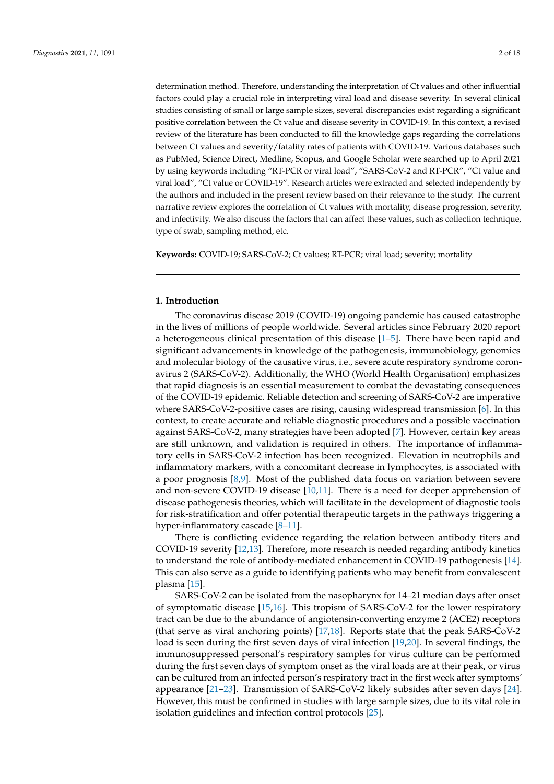determination method. Therefore, understanding the interpretation of Ct values and other influential factors could play a crucial role in interpreting viral load and disease severity. In several clinical studies consisting of small or large sample sizes, several discrepancies exist regarding a significant positive correlation between the Ct value and disease severity in COVID-19. In this context, a revised review of the literature has been conducted to fill the knowledge gaps regarding the correlations between Ct values and severity/fatality rates of patients with COVID-19. Various databases such as PubMed, Science Direct, Medline, Scopus, and Google Scholar were searched up to April 2021 by using keywords including "RT-PCR or viral load", "SARS-CoV-2 and RT-PCR", "Ct value and viral load", "Ct value or COVID-19". Research articles were extracted and selected independently by the authors and included in the present review based on their relevance to the study. The current narrative review explores the correlation of Ct values with mortality, disease progression, severity, and infectivity. We also discuss the factors that can affect these values, such as collection technique, type of swab, sampling method, etc.

**Keywords:** COVID-19; SARS-CoV-2; Ct values; RT-PCR; viral load; severity; mortality

## **1. Introduction**

The coronavirus disease 2019 (COVID-19) ongoing pandemic has caused catastrophe in the lives of millions of people worldwide. Several articles since February 2020 report a heterogeneous clinical presentation of this disease [\[1–](#page-12-0)[5\]](#page-12-1). There have been rapid and significant advancements in knowledge of the pathogenesis, immunobiology, genomics and molecular biology of the causative virus, i.e., severe acute respiratory syndrome coronavirus 2 (SARS-CoV-2). Additionally, the WHO (World Health Organisation) emphasizes that rapid diagnosis is an essential measurement to combat the devastating consequences of the COVID-19 epidemic. Reliable detection and screening of SARS-CoV-2 are imperative where SARS-CoV-2-positive cases are rising, causing widespread transmission [\[6\]](#page-12-2). In this context, to create accurate and reliable diagnostic procedures and a possible vaccination against SARS-CoV-2, many strategies have been adopted [\[7\]](#page-12-3). However, certain key areas are still unknown, and validation is required in others. The importance of inflammatory cells in SARS-CoV-2 infection has been recognized. Elevation in neutrophils and inflammatory markers, with a concomitant decrease in lymphocytes, is associated with a poor prognosis [\[8](#page-12-4)[,9\]](#page-12-5). Most of the published data focus on variation between severe and non-severe COVID-19 disease [\[10,](#page-12-6)[11\]](#page-12-7). There is a need for deeper apprehension of disease pathogenesis theories, which will facilitate in the development of diagnostic tools for risk-stratification and offer potential therapeutic targets in the pathways triggering a hyper-inflammatory cascade [\[8](#page-12-4)[–11\]](#page-12-7).

There is conflicting evidence regarding the relation between antibody titers and COVID-19 severity [\[12](#page-12-8)[,13\]](#page-12-9). Therefore, more research is needed regarding antibody kinetics to understand the role of antibody-mediated enhancement in COVID-19 pathogenesis [\[14\]](#page-12-10). This can also serve as a guide to identifying patients who may benefit from convalescent plasma [\[15\]](#page-13-0).

SARS-CoV-2 can be isolated from the nasopharynx for 14–21 median days after onset of symptomatic disease [\[15,](#page-13-0)[16\]](#page-13-1). This tropism of SARS-CoV-2 for the lower respiratory tract can be due to the abundance of angiotensin-converting enzyme 2 (ACE2) receptors (that serve as viral anchoring points) [\[17](#page-13-2)[,18\]](#page-13-3). Reports state that the peak SARS-CoV-2 load is seen during the first seven days of viral infection [\[19](#page-13-4)[,20\]](#page-13-5). In several findings, the immunosuppressed personal's respiratory samples for virus culture can be performed during the first seven days of symptom onset as the viral loads are at their peak, or virus can be cultured from an infected person's respiratory tract in the first week after symptoms' appearance [\[21](#page-13-6)[–23\]](#page-13-7). Transmission of SARS-CoV-2 likely subsides after seven days [\[24\]](#page-13-8). However, this must be confirmed in studies with large sample sizes, due to its vital role in isolation guidelines and infection control protocols [\[25\]](#page-13-9).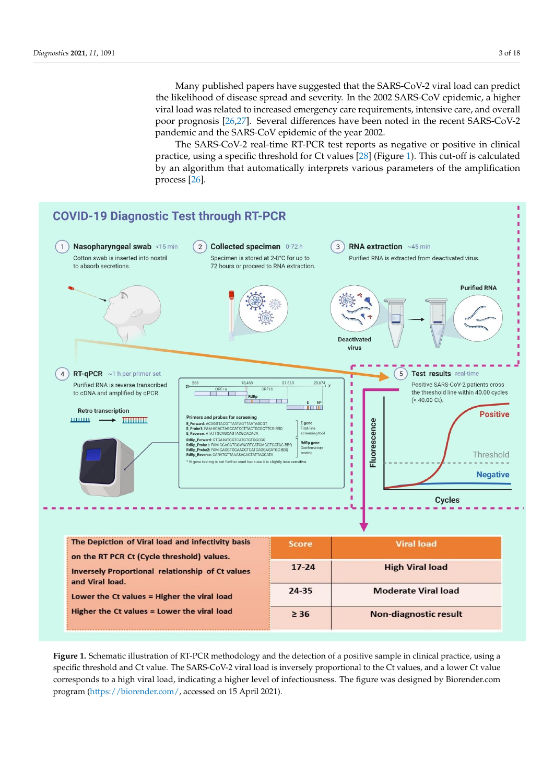Many published papers have suggested that the SARS-CoV-2 viral load can predict Many published papers have suggested that the SARS-CoV-2 viral load can predict the likelihood of disease spread and severity. In the 2002 SARS-CoV epidemic, a higher the likelihood of disease spread and severity. In the 2002 SARS-CoV epidemic, a higher viral load was related to increased emergency care requirements, intensive care, and overall viral load was related to increased emergency care requirements, intensive care, and overall poor prognosis [\[26,](#page-13-10)[27\]](#page-13-11). Several differences have been noted in the recent SARS-CoV-2 pandemic and the SARS-CoV epidemic of the year 2002.  $\frac{1}{25}$  programs [25,26]. Several differences have been noted in the recent SARS-Cov-2

The SARS-CoV-2 real-time RT-PCR test reports as negative or positive in clinical practice, using a specific threshold for Ct values [\[28\]](#page-13-12) (Figure [1\)](#page-2-0). This cut-off is calculated practice, asing a specific threshold for Ct values [27] (Figure 1). This cut-off is calculated<br>by an algorithm that automatically interprets various parameters of the amplification process [\[26\]](#page-13-10). by an algorithm that automatically interprets various parameters of the amplification pro-

<span id="page-2-0"></span>

Figure 1. Schematic illustration of RT-PCR methodology and the detection of a positive sample in clinical practice, using a specific threshold and Ct value. The SARS-CoV-2 viral load is inversely proportional to the Ct values, and a lower Ct value value corresponds to a high viral load, indicating a higher level of infectiousness. The figure was designed by Biorencorresponds to a high viral load, indicating a higher level of infectiousness. The figure was designed by Biorender.com<br>Comparison of the contract of the contract of the contract of the contract of the figure was designed program [\(https://biorender.com/,](https://biorender.com/) accessed on 15 April 2021).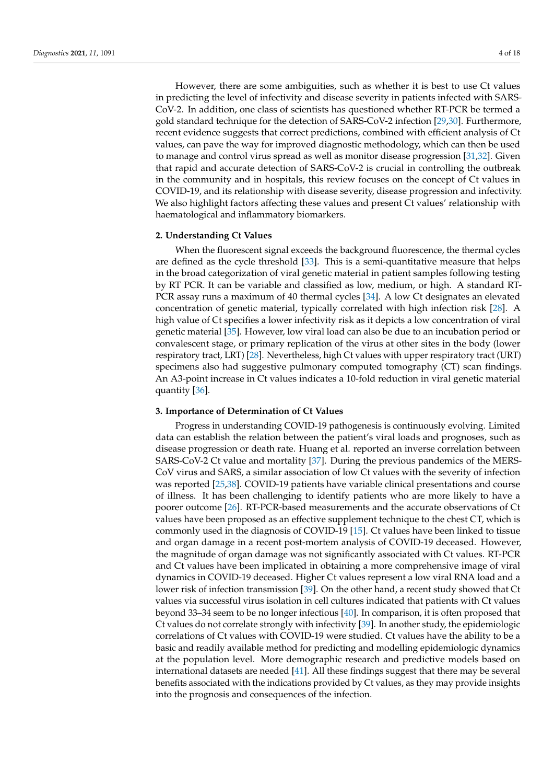However, there are some ambiguities, such as whether it is best to use Ct values in predicting the level of infectivity and disease severity in patients infected with SARS-CoV-2. In addition, one class of scientists has questioned whether RT-PCR be termed a gold standard technique for the detection of SARS-CoV-2 infection [\[29,](#page-13-13)[30\]](#page-13-14). Furthermore, recent evidence suggests that correct predictions, combined with efficient analysis of Ct values, can pave the way for improved diagnostic methodology, which can then be used to manage and control virus spread as well as monitor disease progression [\[31,](#page-13-15)[32\]](#page-13-16). Given that rapid and accurate detection of SARS-CoV-2 is crucial in controlling the outbreak in the community and in hospitals, this review focuses on the concept of Ct values in COVID-19, and its relationship with disease severity, disease progression and infectivity. We also highlight factors affecting these values and present Ct values' relationship with haematological and inflammatory biomarkers.

## **2. Understanding Ct Values**

When the fluorescent signal exceeds the background fluorescence, the thermal cycles are defined as the cycle threshold [\[33\]](#page-13-17). This is a semi-quantitative measure that helps in the broad categorization of viral genetic material in patient samples following testing by RT PCR. It can be variable and classified as low, medium, or high. A standard RT-PCR assay runs a maximum of 40 thermal cycles [\[34\]](#page-13-18). A low Ct designates an elevated concentration of genetic material, typically correlated with high infection risk [\[28\]](#page-13-12). A high value of Ct specifies a lower infectivity risk as it depicts a low concentration of viral genetic material [\[35\]](#page-13-19). However, low viral load can also be due to an incubation period or convalescent stage, or primary replication of the virus at other sites in the body (lower respiratory tract, LRT) [\[28\]](#page-13-12). Nevertheless, high Ct values with upper respiratory tract (URT) specimens also had suggestive pulmonary computed tomography (CT) scan findings. An A3-point increase in Ct values indicates a 10-fold reduction in viral genetic material quantity [\[36\]](#page-13-20).

## **3. Importance of Determination of Ct Values**

Progress in understanding COVID-19 pathogenesis is continuously evolving. Limited data can establish the relation between the patient's viral loads and prognoses, such as disease progression or death rate. Huang et al. reported an inverse correlation between SARS-CoV-2 Ct value and mortality [\[37\]](#page-13-21). During the previous pandemics of the MERS-CoV virus and SARS, a similar association of low Ct values with the severity of infection was reported [\[25,](#page-13-9)[38\]](#page-14-0). COVID-19 patients have variable clinical presentations and course of illness. It has been challenging to identify patients who are more likely to have a poorer outcome [\[26\]](#page-13-10). RT-PCR-based measurements and the accurate observations of Ct values have been proposed as an effective supplement technique to the chest CT, which is commonly used in the diagnosis of COVID-19 [\[15\]](#page-13-0). Ct values have been linked to tissue and organ damage in a recent post-mortem analysis of COVID-19 deceased. However, the magnitude of organ damage was not significantly associated with Ct values. RT-PCR and Ct values have been implicated in obtaining a more comprehensive image of viral dynamics in COVID-19 deceased. Higher Ct values represent a low viral RNA load and a lower risk of infection transmission [\[39\]](#page-14-1). On the other hand, a recent study showed that Ct values via successful virus isolation in cell cultures indicated that patients with Ct values beyond 33–34 seem to be no longer infectious [\[40\]](#page-14-2). In comparison, it is often proposed that Ct values do not correlate strongly with infectivity [\[39\]](#page-14-1). In another study, the epidemiologic correlations of Ct values with COVID-19 were studied. Ct values have the ability to be a basic and readily available method for predicting and modelling epidemiologic dynamics at the population level. More demographic research and predictive models based on international datasets are needed [\[41\]](#page-14-3). All these findings suggest that there may be several benefits associated with the indications provided by Ct values, as they may provide insights into the prognosis and consequences of the infection.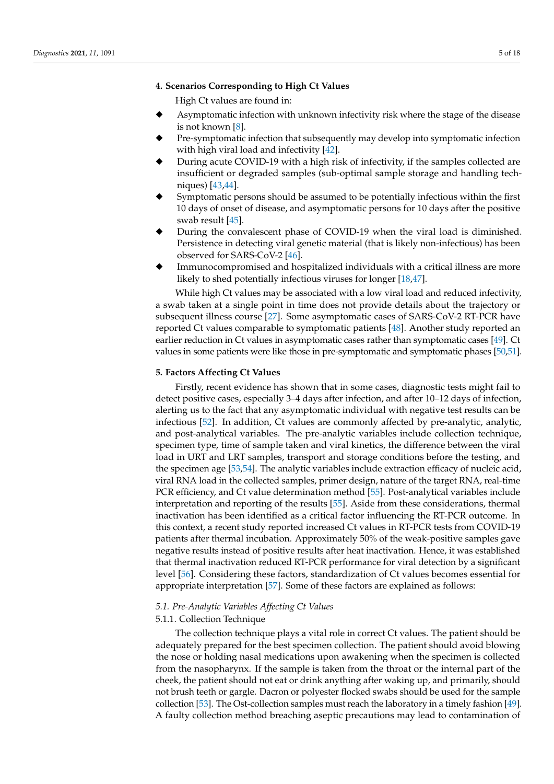## **4. Scenarios Corresponding to High Ct Values**

High Ct values are found in:

- Asymptomatic infection with unknown infectivity risk where the stage of the disease is not known [\[8\]](#page-12-4).
- Pre-symptomatic infection that subsequently may develop into symptomatic infection with high viral load and infectivity [\[42\]](#page-14-4).
- During acute COVID-19 with a high risk of infectivity, if the samples collected are insufficient or degraded samples (sub-optimal sample storage and handling techniques) [\[43,](#page-14-5)[44\]](#page-14-6).
- Symptomatic persons should be assumed to be potentially infectious within the first 10 days of onset of disease, and asymptomatic persons for 10 days after the positive swab result [\[45\]](#page-14-7).
- During the convalescent phase of COVID-19 when the viral load is diminished. Persistence in detecting viral genetic material (that is likely non-infectious) has been observed for SARS-CoV-2 [\[46\]](#page-14-8).
- Immunocompromised and hospitalized individuals with a critical illness are more likely to shed potentially infectious viruses for longer [\[18,](#page-13-3)[47\]](#page-14-9).

While high Ct values may be associated with a low viral load and reduced infectivity, a swab taken at a single point in time does not provide details about the trajectory or subsequent illness course [\[27\]](#page-13-11). Some asymptomatic cases of SARS-CoV-2 RT-PCR have reported Ct values comparable to symptomatic patients [\[48\]](#page-14-10). Another study reported an earlier reduction in Ct values in asymptomatic cases rather than symptomatic cases [\[49\]](#page-14-11). Ct values in some patients were like those in pre-symptomatic and symptomatic phases [\[50](#page-14-12)[,51\]](#page-14-13).

## **5. Factors Affecting Ct Values**

Firstly, recent evidence has shown that in some cases, diagnostic tests might fail to detect positive cases, especially 3–4 days after infection, and after 10–12 days of infection, alerting us to the fact that any asymptomatic individual with negative test results can be infectious [\[52\]](#page-14-14). In addition, Ct values are commonly affected by pre-analytic, analytic, and post-analytical variables. The pre-analytic variables include collection technique, specimen type, time of sample taken and viral kinetics, the difference between the viral load in URT and LRT samples, transport and storage conditions before the testing, and the specimen age [\[53](#page-14-15)[,54\]](#page-14-16). The analytic variables include extraction efficacy of nucleic acid, viral RNA load in the collected samples, primer design, nature of the target RNA, real-time PCR efficiency, and Ct value determination method [\[55\]](#page-14-17). Post-analytical variables include interpretation and reporting of the results [\[55\]](#page-14-17). Aside from these considerations, thermal inactivation has been identified as a critical factor influencing the RT-PCR outcome. In this context, a recent study reported increased Ct values in RT-PCR tests from COVID-19 patients after thermal incubation. Approximately 50% of the weak-positive samples gave negative results instead of positive results after heat inactivation. Hence, it was established that thermal inactivation reduced RT-PCR performance for viral detection by a significant level [\[56\]](#page-14-18). Considering these factors, standardization of Ct values becomes essential for appropriate interpretation [\[57\]](#page-14-19). Some of these factors are explained as follows:

# *5.1. Pre-Analytic Variables Affecting Ct Values*

# 5.1.1. Collection Technique

The collection technique plays a vital role in correct Ct values. The patient should be adequately prepared for the best specimen collection. The patient should avoid blowing the nose or holding nasal medications upon awakening when the specimen is collected from the nasopharynx. If the sample is taken from the throat or the internal part of the cheek, the patient should not eat or drink anything after waking up, and primarily, should not brush teeth or gargle. Dacron or polyester flocked swabs should be used for the sample collection [\[53\]](#page-14-15). The Ost-collection samples must reach the laboratory in a timely fashion [\[49\]](#page-14-11). A faulty collection method breaching aseptic precautions may lead to contamination of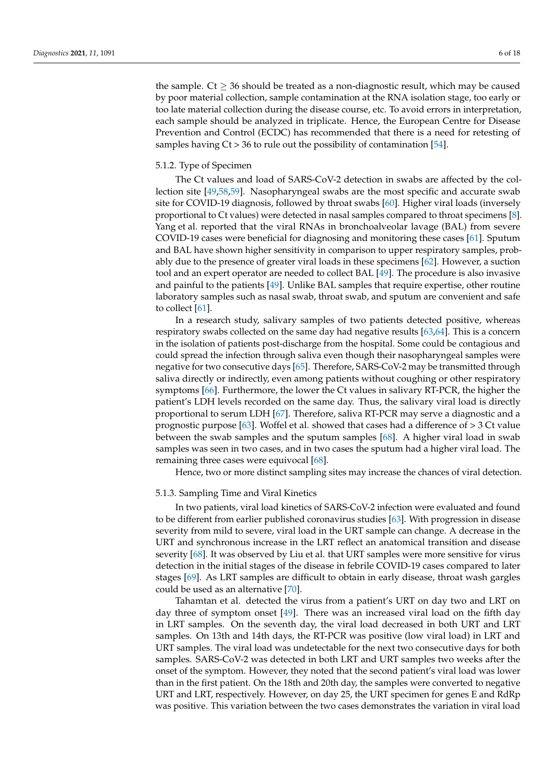the sample. Ct  $\geq$  36 should be treated as a non-diagnostic result, which may be caused by poor material collection, sample contamination at the RNA isolation stage, too early or too late material collection during the disease course, etc. To avoid errors in interpretation, each sample should be analyzed in triplicate. Hence, the European Centre for Disease Prevention and Control (ECDC) has recommended that there is a need for retesting of samples having  $Ct > 36$  to rule out the possibility of contamination [\[54\]](#page-14-16).

## 5.1.2. Type of Specimen

The Ct values and load of SARS-CoV-2 detection in swabs are affected by the collection site [\[49,](#page-14-11)[58,](#page-14-20)[59\]](#page-14-21). Nasopharyngeal swabs are the most specific and accurate swab site for COVID-19 diagnosis, followed by throat swabs [\[60\]](#page-14-22). Higher viral loads (inversely proportional to Ct values) were detected in nasal samples compared to throat specimens [\[8\]](#page-12-4). Yang et al. reported that the viral RNAs in bronchoalveolar lavage (BAL) from severe COVID-19 cases were beneficial for diagnosing and monitoring these cases [\[61\]](#page-14-23). Sputum and BAL have shown higher sensitivity in comparison to upper respiratory samples, probably due to the presence of greater viral loads in these specimens [\[62\]](#page-14-24). However, a suction tool and an expert operator are needed to collect BAL [\[49\]](#page-14-11). The procedure is also invasive and painful to the patients [\[49\]](#page-14-11). Unlike BAL samples that require expertise, other routine laboratory samples such as nasal swab, throat swab, and sputum are convenient and safe to collect [\[61\]](#page-14-23).

In a research study, salivary samples of two patients detected positive, whereas respiratory swabs collected on the same day had negative results [\[63,](#page-14-25)[64\]](#page-14-26). This is a concern in the isolation of patients post-discharge from the hospital. Some could be contagious and could spread the infection through saliva even though their nasopharyngeal samples were negative for two consecutive days [\[65\]](#page-14-27). Therefore, SARS-CoV-2 may be transmitted through saliva directly or indirectly, even among patients without coughing or other respiratory symptoms [\[66\]](#page-15-0). Furthermore, the lower the Ct values in salivary RT-PCR, the higher the patient's LDH levels recorded on the same day. Thus, the salivary viral load is directly proportional to serum LDH [\[67\]](#page-15-1). Therefore, saliva RT-PCR may serve a diagnostic and a prognostic purpose [\[63\]](#page-14-25). Woffel et al. showed that cases had a difference of  $> 3$  Ct value between the swab samples and the sputum samples [\[68\]](#page-15-2). A higher viral load in swab samples was seen in two cases, and in two cases the sputum had a higher viral load. The remaining three cases were equivocal [\[68\]](#page-15-2).

Hence, two or more distinct sampling sites may increase the chances of viral detection.

## 5.1.3. Sampling Time and Viral Kinetics

In two patients, viral load kinetics of SARS-CoV-2 infection were evaluated and found to be different from earlier published coronavirus studies [\[63\]](#page-14-25). With progression in disease severity from mild to severe, viral load in the URT sample can change. A decrease in the URT and synchronous increase in the LRT reflect an anatomical transition and disease severity [\[68\]](#page-15-2). It was observed by Liu et al. that URT samples were more sensitive for virus detection in the initial stages of the disease in febrile COVID-19 cases compared to later stages [\[69\]](#page-15-3). As LRT samples are difficult to obtain in early disease, throat wash gargles could be used as an alternative [\[70\]](#page-15-4).

Tahamtan et al. detected the virus from a patient's URT on day two and LRT on day three of symptom onset [\[49\]](#page-14-11). There was an increased viral load on the fifth day in LRT samples. On the seventh day, the viral load decreased in both URT and LRT samples. On 13th and 14th days, the RT-PCR was positive (low viral load) in LRT and URT samples. The viral load was undetectable for the next two consecutive days for both samples. SARS-CoV-2 was detected in both LRT and URT samples two weeks after the onset of the symptom. However, they noted that the second patient's viral load was lower than in the first patient. On the 18th and 20th day, the samples were converted to negative URT and LRT, respectively. However, on day 25, the URT specimen for genes E and RdRp was positive. This variation between the two cases demonstrates the variation in viral load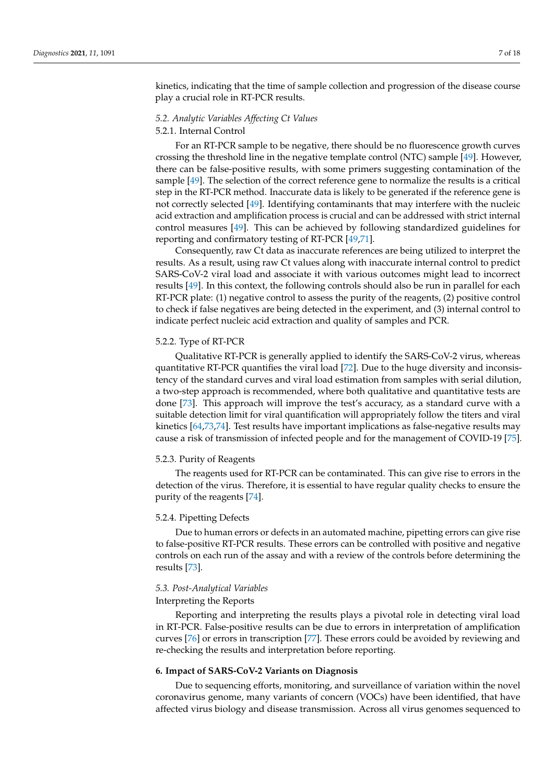kinetics, indicating that the time of sample collection and progression of the disease course play a crucial role in RT-PCR results.

# *5.2. Analytic Variables Affecting Ct Values*

# 5.2.1. Internal Control

For an RT-PCR sample to be negative, there should be no fluorescence growth curves crossing the threshold line in the negative template control (NTC) sample [\[49\]](#page-14-11). However, there can be false-positive results, with some primers suggesting contamination of the sample [\[49\]](#page-14-11). The selection of the correct reference gene to normalize the results is a critical step in the RT-PCR method. Inaccurate data is likely to be generated if the reference gene is not correctly selected [\[49\]](#page-14-11). Identifying contaminants that may interfere with the nucleic acid extraction and amplification process is crucial and can be addressed with strict internal control measures [\[49\]](#page-14-11). This can be achieved by following standardized guidelines for reporting and confirmatory testing of RT-PCR [\[49,](#page-14-11)[71\]](#page-15-5).

Consequently, raw Ct data as inaccurate references are being utilized to interpret the results. As a result, using raw Ct values along with inaccurate internal control to predict SARS-CoV-2 viral load and associate it with various outcomes might lead to incorrect results [\[49\]](#page-14-11). In this context, the following controls should also be run in parallel for each RT-PCR plate: (1) negative control to assess the purity of the reagents, (2) positive control to check if false negatives are being detected in the experiment, and (3) internal control to indicate perfect nucleic acid extraction and quality of samples and PCR.

# 5.2.2. Type of RT-PCR

Qualitative RT-PCR is generally applied to identify the SARS-CoV-2 virus, whereas quantitative RT-PCR quantifies the viral load [\[72\]](#page-15-6). Due to the huge diversity and inconsistency of the standard curves and viral load estimation from samples with serial dilution, a two-step approach is recommended, where both qualitative and quantitative tests are done [\[73\]](#page-15-7). This approach will improve the test's accuracy, as a standard curve with a suitable detection limit for viral quantification will appropriately follow the titers and viral kinetics [\[64](#page-14-26)[,73,](#page-15-7)[74\]](#page-15-8). Test results have important implications as false-negative results may cause a risk of transmission of infected people and for the management of COVID-19 [\[75\]](#page-15-9).

### 5.2.3. Purity of Reagents

The reagents used for RT-PCR can be contaminated. This can give rise to errors in the detection of the virus. Therefore, it is essential to have regular quality checks to ensure the purity of the reagents [\[74\]](#page-15-8).

### 5.2.4. Pipetting Defects

Due to human errors or defects in an automated machine, pipetting errors can give rise to false-positive RT-PCR results. These errors can be controlled with positive and negative controls on each run of the assay and with a review of the controls before determining the results [\[73\]](#page-15-7).

# *5.3. Post-Analytical Variables*

## Interpreting the Reports

Reporting and interpreting the results plays a pivotal role in detecting viral load in RT-PCR. False-positive results can be due to errors in interpretation of amplification curves [\[76\]](#page-15-10) or errors in transcription [\[77\]](#page-15-11). These errors could be avoided by reviewing and re-checking the results and interpretation before reporting.

# **6. Impact of SARS-CoV-2 Variants on Diagnosis**

Due to sequencing efforts, monitoring, and surveillance of variation within the novel coronavirus genome, many variants of concern (VOCs) have been identified, that have affected virus biology and disease transmission. Across all virus genomes sequenced to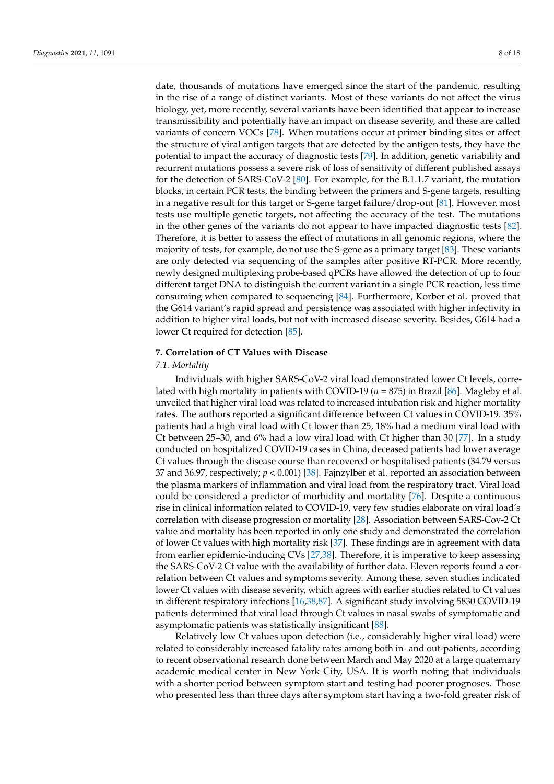date, thousands of mutations have emerged since the start of the pandemic, resulting in the rise of a range of distinct variants. Most of these variants do not affect the virus biology, yet, more recently, several variants have been identified that appear to increase transmissibility and potentially have an impact on disease severity, and these are called variants of concern VOCs [\[78\]](#page-15-12). When mutations occur at primer binding sites or affect the structure of viral antigen targets that are detected by the antigen tests, they have the potential to impact the accuracy of diagnostic tests [\[79\]](#page-15-13). In addition, genetic variability and recurrent mutations possess a severe risk of loss of sensitivity of different published assays for the detection of SARS-CoV-2 [\[80\]](#page-15-14). For example, for the B.1.1.7 variant, the mutation blocks, in certain PCR tests, the binding between the primers and S-gene targets, resulting in a negative result for this target or S-gene target failure/drop-out [\[81\]](#page-15-15). However, most tests use multiple genetic targets, not affecting the accuracy of the test. The mutations in the other genes of the variants do not appear to have impacted diagnostic tests [\[82\]](#page-15-16). Therefore, it is better to assess the effect of mutations in all genomic regions, where the majority of tests, for example, do not use the S-gene as a primary target [\[83\]](#page-15-17). These variants are only detected via sequencing of the samples after positive RT-PCR. More recently, newly designed multiplexing probe-based qPCRs have allowed the detection of up to four different target DNA to distinguish the current variant in a single PCR reaction, less time consuming when compared to sequencing [\[84\]](#page-15-18). Furthermore, Korber et al. proved that the G614 variant's rapid spread and persistence was associated with higher infectivity in addition to higher viral loads, but not with increased disease severity. Besides, G614 had a lower Ct required for detection [\[85\]](#page-15-19).

## **7. Correlation of CT Values with Disease**

## *7.1. Mortality*

Individuals with higher SARS-CoV-2 viral load demonstrated lower Ct levels, correlated with high mortality in patients with COVID-19 (*n* = 875) in Brazil [\[86\]](#page-15-20). Magleby et al. unveiled that higher viral load was related to increased intubation risk and higher mortality rates. The authors reported a significant difference between Ct values in COVID-19. 35% patients had a high viral load with Ct lower than 25, 18% had a medium viral load with Ct between 25–30, and 6% had a low viral load with Ct higher than 30 [\[77\]](#page-15-11). In a study conducted on hospitalized COVID-19 cases in China, deceased patients had lower average Ct values through the disease course than recovered or hospitalised patients (34.79 versus 37 and 36.97, respectively; *p* < 0.001) [\[38\]](#page-14-0). Fajnzylber et al. reported an association between the plasma markers of inflammation and viral load from the respiratory tract. Viral load could be considered a predictor of morbidity and mortality [\[76\]](#page-15-10). Despite a continuous rise in clinical information related to COVID-19, very few studies elaborate on viral load's correlation with disease progression or mortality [\[28\]](#page-13-12). Association between SARS-Cov-2 Ct value and mortality has been reported in only one study and demonstrated the correlation of lower Ct values with high mortality risk [\[37\]](#page-13-21). These findings are in agreement with data from earlier epidemic-inducing CVs [\[27](#page-13-11)[,38\]](#page-14-0). Therefore, it is imperative to keep assessing the SARS-CoV-2 Ct value with the availability of further data. Eleven reports found a correlation between Ct values and symptoms severity. Among these, seven studies indicated lower Ct values with disease severity, which agrees with earlier studies related to Ct values in different respiratory infections [\[16,](#page-13-1)[38,](#page-14-0)[87\]](#page-15-21). A significant study involving 5830 COVID-19 patients determined that viral load through Ct values in nasal swabs of symptomatic and asymptomatic patients was statistically insignificant [\[88\]](#page-15-22).

Relatively low Ct values upon detection (i.e., considerably higher viral load) were related to considerably increased fatality rates among both in- and out-patients, according to recent observational research done between March and May 2020 at a large quaternary academic medical center in New York City, USA. It is worth noting that individuals with a shorter period between symptom start and testing had poorer prognoses. Those who presented less than three days after symptom start having a two-fold greater risk of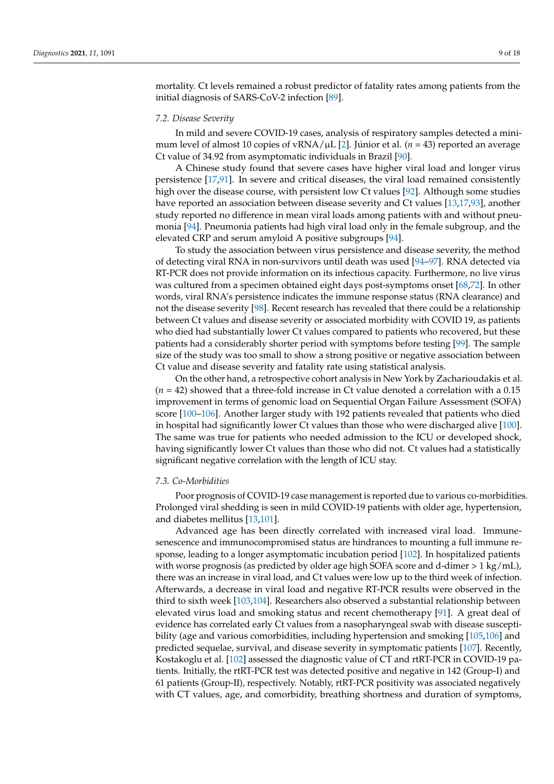mortality. Ct levels remained a robust predictor of fatality rates among patients from the initial diagnosis of SARS-CoV-2 infection [\[89\]](#page-15-23).

# *7.2. Disease Severity*

In mild and severe COVID-19 cases, analysis of respiratory samples detected a minimum level of almost 10 copies of vRNA/µL [\[2\]](#page-12-11). Júnior et al. (*n* = 43) reported an average Ct value of 34.92 from asymptomatic individuals in Brazil [\[90\]](#page-16-0).

A Chinese study found that severe cases have higher viral load and longer virus persistence [\[17](#page-13-2)[,91\]](#page-16-1). In severe and critical diseases, the viral load remained consistently high over the disease course, with persistent low Ct values [\[92\]](#page-16-2). Although some studies have reported an association between disease severity and Ct values [\[13,](#page-12-9)[17,](#page-13-2)[93\]](#page-16-3), another study reported no difference in mean viral loads among patients with and without pneumonia [\[94\]](#page-16-4). Pneumonia patients had high viral load only in the female subgroup, and the elevated CRP and serum amyloid A positive subgroups [\[94\]](#page-16-4).

To study the association between virus persistence and disease severity, the method of detecting viral RNA in non-survivors until death was used [\[94–](#page-16-4)[97\]](#page-16-5). RNA detected via RT-PCR does not provide information on its infectious capacity. Furthermore, no live virus was cultured from a specimen obtained eight days post-symptoms onset [\[68,](#page-15-2)[72\]](#page-15-6). In other words, viral RNA's persistence indicates the immune response status (RNA clearance) and not the disease severity [\[98\]](#page-16-6). Recent research has revealed that there could be a relationship between Ct values and disease severity or associated morbidity with COVID 19, as patients who died had substantially lower Ct values compared to patients who recovered, but these patients had a considerably shorter period with symptoms before testing [\[99\]](#page-16-7). The sample size of the study was too small to show a strong positive or negative association between Ct value and disease severity and fatality rate using statistical analysis.

On the other hand, a retrospective cohort analysis in New York by Zacharioudakis et al. (*n* = 42) showed that a three-fold increase in Ct value denoted a correlation with a 0.15 improvement in terms of genomic load on Sequential Organ Failure Assessment (SOFA) score [\[100](#page-16-8)[–106\]](#page-16-9). Another larger study with 192 patients revealed that patients who died in hospital had significantly lower Ct values than those who were discharged alive [\[100\]](#page-16-8). The same was true for patients who needed admission to the ICU or developed shock, having significantly lower Ct values than those who did not. Ct values had a statistically significant negative correlation with the length of ICU stay.

### *7.3. Co-Morbidities*

Poor prognosis of COVID-19 case management is reported due to various co-morbidities. Prolonged viral shedding is seen in mild COVID-19 patients with older age, hypertension, and diabetes mellitus [\[13,](#page-12-9)[101\]](#page-16-10).

Advanced age has been directly correlated with increased viral load. Immunesenescence and immunocompromised status are hindrances to mounting a full immune response, leading to a longer asymptomatic incubation period [\[102\]](#page-16-11). In hospitalized patients with worse prognosis (as predicted by older age high SOFA score and d-dimer  $> 1 \text{ kg/mL}$ ), there was an increase in viral load, and Ct values were low up to the third week of infection. Afterwards, a decrease in viral load and negative RT-PCR results were observed in the third to sixth week [\[103](#page-16-12)[,104\]](#page-16-13). Researchers also observed a substantial relationship between elevated virus load and smoking status and recent chemotherapy [\[91\]](#page-16-1). A great deal of evidence has correlated early Ct values from a nasopharyngeal swab with disease susceptibility (age and various comorbidities, including hypertension and smoking [\[105,](#page-16-14)[106\]](#page-16-9) and predicted sequelae, survival, and disease severity in symptomatic patients [\[107\]](#page-16-15). Recently, Kostakoglu et al. [\[102\]](#page-16-11) assessed the diagnostic value of CT and rtRT-PCR in COVID-19 patients. Initially, the rtRT-PCR test was detected positive and negative in 142 (Group-I) and 61 patients (Group-II), respectively. Notably, rtRT-PCR positivity was associated negatively with CT values, age, and comorbidity, breathing shortness and duration of symptoms,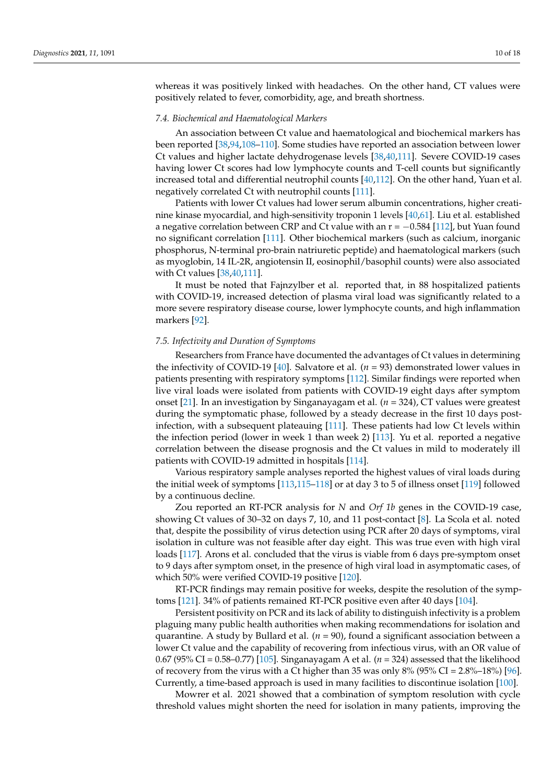whereas it was positively linked with headaches. On the other hand, CT values were positively related to fever, comorbidity, age, and breath shortness.

## *7.4. Biochemical and Haematological Markers*

An association between Ct value and haematological and biochemical markers has been reported [\[38](#page-14-0)[,94](#page-16-4)[,108–](#page-16-16)[110\]](#page-16-17). Some studies have reported an association between lower Ct values and higher lactate dehydrogenase levels [\[38](#page-14-0)[,40,](#page-14-2)[111\]](#page-16-18). Severe COVID-19 cases having lower Ct scores had low lymphocyte counts and T-cell counts but significantly increased total and differential neutrophil counts [\[40,](#page-14-2)[112\]](#page-16-19). On the other hand, Yuan et al. negatively correlated Ct with neutrophil counts [\[111\]](#page-16-18).

Patients with lower Ct values had lower serum albumin concentrations, higher creatinine kinase myocardial, and high-sensitivity troponin 1 levels [\[40](#page-14-2)[,61\]](#page-14-23). Liu et al. established a negative correlation between CRP and Ct value with an  $r = -0.584$  [\[112\]](#page-16-19), but Yuan found no significant correlation [\[111\]](#page-16-18). Other biochemical markers (such as calcium, inorganic phosphorus, N-terminal pro-brain natriuretic peptide) and haematological markers (such as myoglobin, 14 IL-2R, angiotensin II, eosinophil/basophil counts) were also associated with Ct values [\[38,](#page-14-0)[40,](#page-14-2)[111\]](#page-16-18).

It must be noted that Fajnzylber et al. reported that, in 88 hospitalized patients with COVID-19, increased detection of plasma viral load was significantly related to a more severe respiratory disease course, lower lymphocyte counts, and high inflammation markers [\[92\]](#page-16-2).

## *7.5. Infectivity and Duration of Symptoms*

Researchers from France have documented the advantages of Ct values in determining the infectivity of COVID-19 [\[40\]](#page-14-2). Salvatore et al.  $(n = 93)$  demonstrated lower values in patients presenting with respiratory symptoms [\[112\]](#page-16-19). Similar findings were reported when live viral loads were isolated from patients with COVID-19 eight days after symptom onset [\[21\]](#page-13-6). In an investigation by Singanayagam et al. (*n* = 324), CT values were greatest during the symptomatic phase, followed by a steady decrease in the first 10 days postinfection, with a subsequent plateauing [\[111\]](#page-16-18). These patients had low Ct levels within the infection period (lower in week 1 than week 2) [\[113\]](#page-16-20). Yu et al. reported a negative correlation between the disease prognosis and the Ct values in mild to moderately ill patients with COVID-19 admitted in hospitals [\[114\]](#page-16-21).

Various respiratory sample analyses reported the highest values of viral loads during the initial week of symptoms [\[113,](#page-16-20)[115](#page-17-0)[–118\]](#page-17-1) or at day 3 to 5 of illness onset [\[119\]](#page-17-2) followed by a continuous decline.

Zou reported an RT-PCR analysis for *N* and *Orf 1b* genes in the COVID-19 case, showing Ct values of 30–32 on days 7, 10, and 11 post-contact [\[8\]](#page-12-4). La Scola et al. noted that, despite the possibility of virus detection using PCR after 20 days of symptoms, viral isolation in culture was not feasible after day eight. This was true even with high viral loads [\[117\]](#page-17-3). Arons et al. concluded that the virus is viable from 6 days pre-symptom onset to 9 days after symptom onset, in the presence of high viral load in asymptomatic cases, of which 50% were verified COVID-19 positive [\[120\]](#page-17-4).

RT-PCR findings may remain positive for weeks, despite the resolution of the symptoms [\[121\]](#page-17-5). 34% of patients remained RT-PCR positive even after 40 days [\[104\]](#page-16-13).

Persistent positivity on PCR and its lack of ability to distinguish infectivity is a problem plaguing many public health authorities when making recommendations for isolation and quarantine. A study by Bullard et al.  $(n = 90)$ , found a significant association between a lower Ct value and the capability of recovering from infectious virus, with an OR value of 0.67 (95% CI = 0.58–0.77) [\[105\]](#page-16-14). Singanayagam A et al. (*n* = 324) assessed that the likelihood of recovery from the virus with a Ct higher than 35 was only  $8\%$  (95% CI = 2.8%–18%) [\[96\]](#page-16-22). Currently, a time-based approach is used in many facilities to discontinue isolation [\[100\]](#page-16-8).

Mowrer et al. 2021 showed that a combination of symptom resolution with cycle threshold values might shorten the need for isolation in many patients, improving the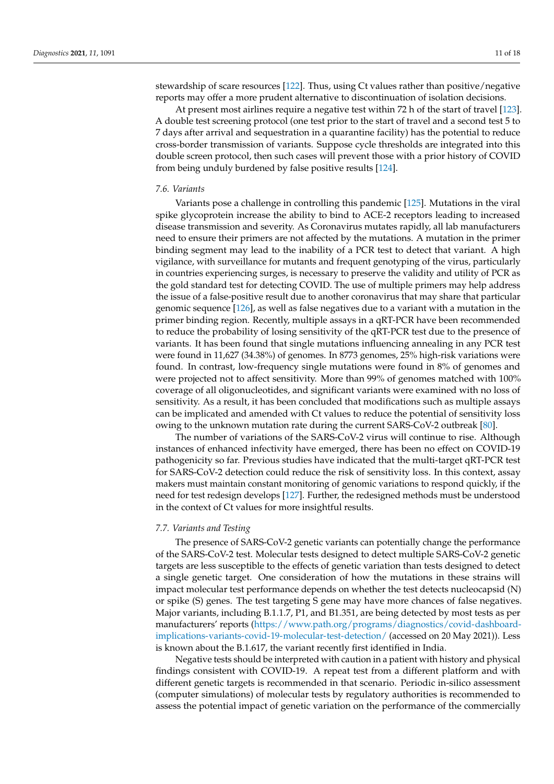stewardship of scare resources [\[122\]](#page-17-6). Thus, using Ct values rather than positive/negative reports may offer a more prudent alternative to discontinuation of isolation decisions.

At present most airlines require a negative test within 72 h of the start of travel [\[123\]](#page-17-7). A double test screening protocol (one test prior to the start of travel and a second test 5 to 7 days after arrival and sequestration in a quarantine facility) has the potential to reduce cross-border transmission of variants. Suppose cycle thresholds are integrated into this double screen protocol, then such cases will prevent those with a prior history of COVID from being unduly burdened by false positive results [\[124\]](#page-17-8).

## *7.6. Variants*

Variants pose a challenge in controlling this pandemic [\[125\]](#page-17-9). Mutations in the viral spike glycoprotein increase the ability to bind to ACE-2 receptors leading to increased disease transmission and severity. As Coronavirus mutates rapidly, all lab manufacturers need to ensure their primers are not affected by the mutations. A mutation in the primer binding segment may lead to the inability of a PCR test to detect that variant. A high vigilance, with surveillance for mutants and frequent genotyping of the virus, particularly in countries experiencing surges, is necessary to preserve the validity and utility of PCR as the gold standard test for detecting COVID. The use of multiple primers may help address the issue of a false-positive result due to another coronavirus that may share that particular genomic sequence [\[126\]](#page-17-10), as well as false negatives due to a variant with a mutation in the primer binding region. Recently, multiple assays in a qRT-PCR have been recommended to reduce the probability of losing sensitivity of the qRT-PCR test due to the presence of variants. It has been found that single mutations influencing annealing in any PCR test were found in 11,627 (34.38%) of genomes. In 8773 genomes, 25% high-risk variations were found. In contrast, low-frequency single mutations were found in 8% of genomes and were projected not to affect sensitivity. More than 99% of genomes matched with 100% coverage of all oligonucleotides, and significant variants were examined with no loss of sensitivity. As a result, it has been concluded that modifications such as multiple assays can be implicated and amended with Ct values to reduce the potential of sensitivity loss owing to the unknown mutation rate during the current SARS-CoV-2 outbreak [\[80\]](#page-15-14).

The number of variations of the SARS-CoV-2 virus will continue to rise. Although instances of enhanced infectivity have emerged, there has been no effect on COVID-19 pathogenicity so far. Previous studies have indicated that the multi-target qRT-PCR test for SARS-CoV-2 detection could reduce the risk of sensitivity loss. In this context, assay makers must maintain constant monitoring of genomic variations to respond quickly, if the need for test redesign develops [\[127\]](#page-17-11). Further, the redesigned methods must be understood in the context of Ct values for more insightful results.

### *7.7. Variants and Testing*

The presence of SARS-CoV-2 genetic variants can potentially change the performance of the SARS-CoV-2 test. Molecular tests designed to detect multiple SARS-CoV-2 genetic targets are less susceptible to the effects of genetic variation than tests designed to detect a single genetic target. One consideration of how the mutations in these strains will impact molecular test performance depends on whether the test detects nucleocapsid (N) or spike (S) genes. The test targeting S gene may have more chances of false negatives. Major variants, including B.1.1.7, P1, and B1.351, are being detected by most tests as per manufacturers' reports [\(https://www.path.org/programs/diagnostics/covid-dashboard](https://www.path.org/programs/diagnostics/covid-dashboard-implications-variants-covid-19-molecular-test-detection/)[implications-variants-covid-19-molecular-test-detection/](https://www.path.org/programs/diagnostics/covid-dashboard-implications-variants-covid-19-molecular-test-detection/) (accessed on 20 May 2021)). Less is known about the B.1.617, the variant recently first identified in India.

Negative tests should be interpreted with caution in a patient with history and physical findings consistent with COVID-19. A repeat test from a different platform and with different genetic targets is recommended in that scenario. Periodic in-silico assessment (computer simulations) of molecular tests by regulatory authorities is recommended to assess the potential impact of genetic variation on the performance of the commercially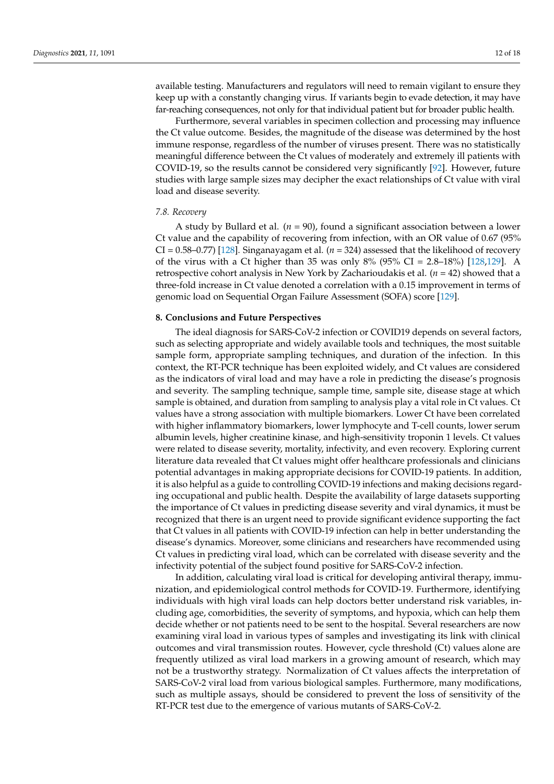available testing. Manufacturers and regulators will need to remain vigilant to ensure they keep up with a constantly changing virus. If variants begin to evade detection, it may have far-reaching consequences, not only for that individual patient but for broader public health.

Furthermore, several variables in specimen collection and processing may influence the Ct value outcome. Besides, the magnitude of the disease was determined by the host immune response, regardless of the number of viruses present. There was no statistically meaningful difference between the Ct values of moderately and extremely ill patients with COVID-19, so the results cannot be considered very significantly [\[92\]](#page-16-2). However, future studies with large sample sizes may decipher the exact relationships of Ct value with viral load and disease severity.

### *7.8. Recovery*

A study by Bullard et al. (*n* = 90), found a significant association between a lower Ct value and the capability of recovering from infection, with an OR value of 0.67 (95%  $CI = 0.58-0.77$  [\[128\]](#page-17-12). Singanayagam et al.  $(n = 324)$  assessed that the likelihood of recovery of the virus with a Ct higher than 35 was only 8%  $(95\%$  CI = 2.8–18%) [\[128](#page-17-12)[,129\]](#page-17-13). A retrospective cohort analysis in New York by Zacharioudakis et al. (*n* = 42) showed that a three-fold increase in Ct value denoted a correlation with a 0.15 improvement in terms of genomic load on Sequential Organ Failure Assessment (SOFA) score [\[129\]](#page-17-13).

## **8. Conclusions and Future Perspectives**

The ideal diagnosis for SARS-CoV-2 infection or COVID19 depends on several factors, such as selecting appropriate and widely available tools and techniques, the most suitable sample form, appropriate sampling techniques, and duration of the infection. In this context, the RT-PCR technique has been exploited widely, and Ct values are considered as the indicators of viral load and may have a role in predicting the disease's prognosis and severity. The sampling technique, sample time, sample site, disease stage at which sample is obtained, and duration from sampling to analysis play a vital role in Ct values. Ct values have a strong association with multiple biomarkers. Lower Ct have been correlated with higher inflammatory biomarkers, lower lymphocyte and T-cell counts, lower serum albumin levels, higher creatinine kinase, and high-sensitivity troponin 1 levels. Ct values were related to disease severity, mortality, infectivity, and even recovery. Exploring current literature data revealed that Ct values might offer healthcare professionals and clinicians potential advantages in making appropriate decisions for COVID-19 patients. In addition, it is also helpful as a guide to controlling COVID-19 infections and making decisions regarding occupational and public health. Despite the availability of large datasets supporting the importance of Ct values in predicting disease severity and viral dynamics, it must be recognized that there is an urgent need to provide significant evidence supporting the fact that Ct values in all patients with COVID-19 infection can help in better understanding the disease's dynamics. Moreover, some clinicians and researchers have recommended using Ct values in predicting viral load, which can be correlated with disease severity and the infectivity potential of the subject found positive for SARS-CoV-2 infection.

In addition, calculating viral load is critical for developing antiviral therapy, immunization, and epidemiological control methods for COVID-19. Furthermore, identifying individuals with high viral loads can help doctors better understand risk variables, including age, comorbidities, the severity of symptoms, and hypoxia, which can help them decide whether or not patients need to be sent to the hospital. Several researchers are now examining viral load in various types of samples and investigating its link with clinical outcomes and viral transmission routes. However, cycle threshold (Ct) values alone are frequently utilized as viral load markers in a growing amount of research, which may not be a trustworthy strategy. Normalization of Ct values affects the interpretation of SARS-CoV-2 viral load from various biological samples. Furthermore, many modifications, such as multiple assays, should be considered to prevent the loss of sensitivity of the RT-PCR test due to the emergence of various mutants of SARS-CoV-2.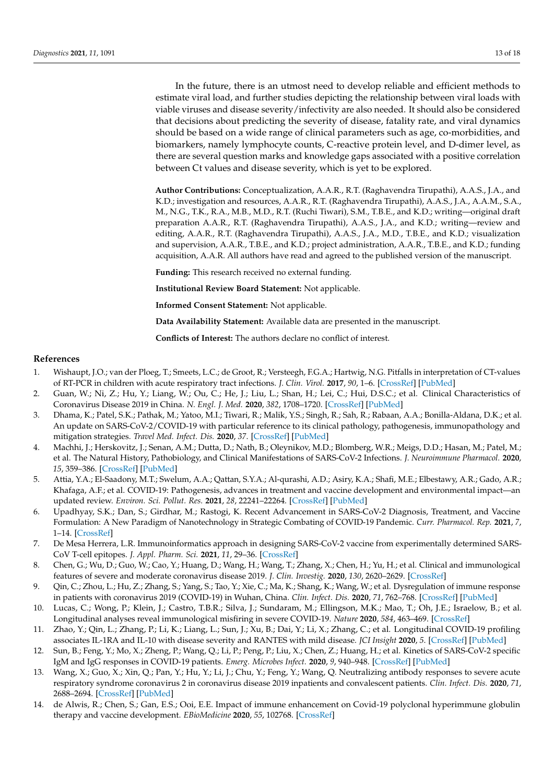In the future, there is an utmost need to develop reliable and efficient methods to estimate viral load, and further studies depicting the relationship between viral loads with viable viruses and disease severity/infectivity are also needed. It should also be considered that decisions about predicting the severity of disease, fatality rate, and viral dynamics should be based on a wide range of clinical parameters such as age, co-morbidities, and biomarkers, namely lymphocyte counts, C-reactive protein level, and D-dimer level, as there are several question marks and knowledge gaps associated with a positive correlation between Ct values and disease severity, which is yet to be explored.

**Author Contributions:** Conceptualization, A.A.R., R.T. (Raghavendra Tirupathi), A.A.S., J.A., and K.D.; investigation and resources, A.A.R., R.T. (Raghavendra Tirupathi), A.A.S., J.A., A.A.M., S.A., M., N.G., T.K., R.A., M.B., M.D., R.T. (Ruchi Tiwari), S.M., T.B.E., and K.D.; writing—original draft preparation A.A.R., R.T. (Raghavendra Tirupathi), A.A.S., J.A., and K.D.; writing—review and editing, A.A.R., R.T. (Raghavendra Tirupathi), A.A.S., J.A., M.D., T.B.E., and K.D.; visualization and supervision, A.A.R., T.B.E., and K.D.; project administration, A.A.R., T.B.E., and K.D.; funding acquisition, A.A.R. All authors have read and agreed to the published version of the manuscript.

**Funding:** This research received no external funding.

**Institutional Review Board Statement:** Not applicable.

**Informed Consent Statement:** Not applicable.

**Data Availability Statement:** Available data are presented in the manuscript.

**Conflicts of Interest:** The authors declare no conflict of interest.

### **References**

- <span id="page-12-0"></span>1. Wishaupt, J.O.; van der Ploeg, T.; Smeets, L.C.; de Groot, R.; Versteegh, F.G.A.; Hartwig, N.G. Pitfalls in interpretation of CT-values of RT-PCR in children with acute respiratory tract infections. *J. Clin. Virol.* **2017**, *90*, 1–6. [\[CrossRef\]](http://doi.org/10.1016/j.jcv.2017.02.010) [\[PubMed\]](http://www.ncbi.nlm.nih.gov/pubmed/28259567)
- <span id="page-12-11"></span>2. Guan, W.; Ni, Z.; Hu, Y.; Liang, W.; Ou, C.; He, J.; Liu, L.; Shan, H.; Lei, C.; Hui, D.S.C.; et al. Clinical Characteristics of Coronavirus Disease 2019 in China. *N. Engl. J. Med.* **2020**, *382*, 1708–1720. [\[CrossRef\]](http://doi.org/10.1056/NEJMoa2002032) [\[PubMed\]](http://www.ncbi.nlm.nih.gov/pubmed/32109013)
- 3. Dhama, K.; Patel, S.K.; Pathak, M.; Yatoo, M.I.; Tiwari, R.; Malik, Y.S.; Singh, R.; Sah, R.; Rabaan, A.A.; Bonilla-Aldana, D.K.; et al. An update on SARS-CoV-2/COVID-19 with particular reference to its clinical pathology, pathogenesis, immunopathology and mitigation strategies. *Travel Med. Infect. Dis.* **2020**, *37*. [\[CrossRef\]](http://doi.org/10.1016/j.tmaid.2020.101755) [\[PubMed\]](http://www.ncbi.nlm.nih.gov/pubmed/32479816)
- 4. Machhi, J.; Herskovitz, J.; Senan, A.M.; Dutta, D.; Nath, B.; Oleynikov, M.D.; Blomberg, W.R.; Meigs, D.D.; Hasan, M.; Patel, M.; et al. The Natural History, Pathobiology, and Clinical Manifestations of SARS-CoV-2 Infections. *J. Neuroimmune Pharmacol.* **2020**, *15*, 359–386. [\[CrossRef\]](http://doi.org/10.1007/s11481-020-09944-5) [\[PubMed\]](http://www.ncbi.nlm.nih.gov/pubmed/32696264)
- <span id="page-12-1"></span>5. Attia, Y.A.; El-Saadony, M.T.; Swelum, A.A.; Qattan, S.Y.A.; Al-qurashi, A.D.; Asiry, K.A.; Shafi, M.E.; Elbestawy, A.R.; Gado, A.R.; Khafaga, A.F.; et al. COVID-19: Pathogenesis, advances in treatment and vaccine development and environmental impact—an updated review. *Environ. Sci. Pollut. Res.* **2021**, *28*, 22241–22264. [\[CrossRef\]](http://doi.org/10.1007/s11356-021-13018-1) [\[PubMed\]](http://www.ncbi.nlm.nih.gov/pubmed/33733422)
- <span id="page-12-2"></span>6. Upadhyay, S.K.; Dan, S.; Girdhar, M.; Rastogi, K. Recent Advancement in SARS-CoV-2 Diagnosis, Treatment, and Vaccine Formulation: A New Paradigm of Nanotechnology in Strategic Combating of COVID-19 Pandemic. *Curr. Pharmacol. Rep.* **2021**, *7*, 1–14. [\[CrossRef\]](http://doi.org/10.1007/s40495-021-00250-z)
- <span id="page-12-3"></span>7. De Mesa Herrera, L.R. Immunoinformatics approach in designing SARS-CoV-2 vaccine from experimentally determined SARS-CoV T-cell epitopes. *J. Appl. Pharm. Sci.* **2021**, *11*, 29–36. [\[CrossRef\]](http://doi.org/10.7324/JAPS.2021.110303)
- <span id="page-12-4"></span>8. Chen, G.; Wu, D.; Guo, W.; Cao, Y.; Huang, D.; Wang, H.; Wang, T.; Zhang, X.; Chen, H.; Yu, H.; et al. Clinical and immunological features of severe and moderate coronavirus disease 2019. *J. Clin. Investig.* **2020**, *130*, 2620–2629. [\[CrossRef\]](http://doi.org/10.1172/JCI137244)
- <span id="page-12-5"></span>9. Qin, C.; Zhou, L.; Hu, Z.; Zhang, S.; Yang, S.; Tao, Y.; Xie, C.; Ma, K.; Shang, K.; Wang, W.; et al. Dysregulation of immune response in patients with coronavirus 2019 (COVID-19) in Wuhan, China. *Clin. Infect. Dis.* **2020**, *71*, 762–768. [\[CrossRef\]](http://doi.org/10.1093/cid/ciaa248) [\[PubMed\]](http://www.ncbi.nlm.nih.gov/pubmed/32161940)
- <span id="page-12-6"></span>10. Lucas, C.; Wong, P.; Klein, J.; Castro, T.B.R.; Silva, J.; Sundaram, M.; Ellingson, M.K.; Mao, T.; Oh, J.E.; Israelow, B.; et al. Longitudinal analyses reveal immunological misfiring in severe COVID-19. *Nature* **2020**, *584*, 463–469. [\[CrossRef\]](http://doi.org/10.1038/s41586-020-2588-y)
- <span id="page-12-7"></span>11. Zhao, Y.; Qin, L.; Zhang, P.; Li, K.; Liang, L.; Sun, J.; Xu, B.; Dai, Y.; Li, X.; Zhang, C.; et al. Longitudinal COVID-19 profiling associates IL-1RA and IL-10 with disease severity and RANTES with mild disease. *JCI Insight* **2020**, *5*. [\[CrossRef\]](http://doi.org/10.1172/jci.insight.139834) [\[PubMed\]](http://www.ncbi.nlm.nih.gov/pubmed/32501293)
- <span id="page-12-8"></span>12. Sun, B.; Feng, Y.; Mo, X.; Zheng, P.; Wang, Q.; Li, P.; Peng, P.; Liu, X.; Chen, Z.; Huang, H.; et al. Kinetics of SARS-CoV-2 specific IgM and IgG responses in COVID-19 patients. *Emerg. Microbes Infect.* **2020**, *9*, 940–948. [\[CrossRef\]](http://doi.org/10.1080/22221751.2020.1762515) [\[PubMed\]](http://www.ncbi.nlm.nih.gov/pubmed/32357808)
- <span id="page-12-9"></span>13. Wang, X.; Guo, X.; Xin, Q.; Pan, Y.; Hu, Y.; Li, J.; Chu, Y.; Feng, Y.; Wang, Q. Neutralizing antibody responses to severe acute respiratory syndrome coronavirus 2 in coronavirus disease 2019 inpatients and convalescent patients. *Clin. Infect. Dis.* **2020**, *71*, 2688–2694. [\[CrossRef\]](http://doi.org/10.1093/cid/ciaa721) [\[PubMed\]](http://www.ncbi.nlm.nih.gov/pubmed/32497196)
- <span id="page-12-10"></span>14. de Alwis, R.; Chen, S.; Gan, E.S.; Ooi, E.E. Impact of immune enhancement on Covid-19 polyclonal hyperimmune globulin therapy and vaccine development. *EBioMedicine* **2020**, *55*, 102768. [\[CrossRef\]](http://doi.org/10.1016/j.ebiom.2020.102768)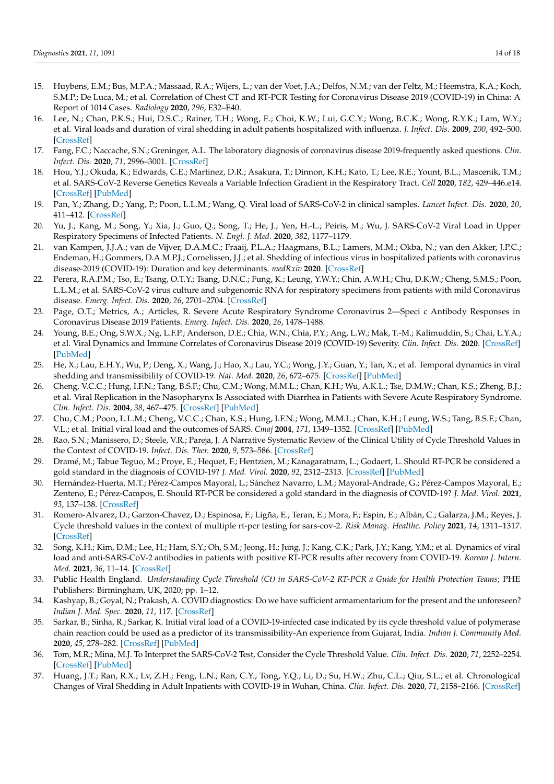- <span id="page-13-0"></span>15. Huybens, E.M.; Bus, M.P.A.; Massaad, R.A.; Wijers, L.; van der Voet, J.A.; Delfos, N.M.; van der Feltz, M.; Heemstra, K.A.; Koch, S.M.P.; De Luca, M.; et al. Correlation of Chest CT and RT-PCR Testing for Coronavirus Disease 2019 (COVID-19) in China: A Report of 1014 Cases. *Radiology* **2020**, *296*, E32–E40.
- <span id="page-13-1"></span>16. Lee, N.; Chan, P.K.S.; Hui, D.S.C.; Rainer, T.H.; Wong, E.; Choi, K.W.; Lui, G.C.Y.; Wong, B.C.K.; Wong, R.Y.K.; Lam, W.Y.; et al. Viral loads and duration of viral shedding in adult patients hospitalized with influenza. *J. Infect. Dis.* **2009**, *200*, 492–500. [\[CrossRef\]](http://doi.org/10.1086/600383)
- <span id="page-13-2"></span>17. Fang, F.C.; Naccache, S.N.; Greninger, A.L. The laboratory diagnosis of coronavirus disease 2019-frequently asked questions. *Clin. Infect. Dis.* **2020**, *71*, 2996–3001. [\[CrossRef\]](http://doi.org/10.1093/cid/ciaa742)
- <span id="page-13-3"></span>18. Hou, Y.J.; Okuda, K.; Edwards, C.E.; Martinez, D.R.; Asakura, T.; Dinnon, K.H.; Kato, T.; Lee, R.E.; Yount, B.L.; Mascenik, T.M.; et al. SARS-CoV-2 Reverse Genetics Reveals a Variable Infection Gradient in the Respiratory Tract. *Cell* **2020**, *182*, 429–446.e14. [\[CrossRef\]](http://doi.org/10.1016/j.cell.2020.05.042) [\[PubMed\]](http://www.ncbi.nlm.nih.gov/pubmed/32526206)
- <span id="page-13-4"></span>19. Pan, Y.; Zhang, D.; Yang, P.; Poon, L.L.M.; Wang, Q. Viral load of SARS-CoV-2 in clinical samples. *Lancet Infect. Dis.* **2020**, *20*, 411–412. [\[CrossRef\]](http://doi.org/10.1016/S1473-3099(20)30113-4)
- <span id="page-13-5"></span>20. Yu, J.; Kang, M.; Song, Y.; Xia, J.; Guo, Q.; Song, T.; He, J.; Yen, H.-L.; Peiris, M.; Wu, J. SARS-CoV-2 Viral Load in Upper Respiratory Specimens of Infected Patients. *N. Engl. J. Med.* **2020**, *382*, 1177–1179.
- <span id="page-13-6"></span>21. van Kampen, J.J.A.; van de Vijver, D.A.M.C.; Fraaij, P.L.A.; Haagmans, B.L.; Lamers, M.M.; Okba, N.; van den Akker, J.P.C.; Endeman, H.; Gommers, D.A.M.P.J.; Cornelissen, J.J.; et al. Shedding of infectious virus in hospitalized patients with coronavirus disease-2019 (COVID-19): Duration and key determinants. *medRxiv* **2020**. [\[CrossRef\]](http://doi.org/10.1101/2020.06.08.20125310)
- 22. Perera, R.A.P.M.; Tso, E.; Tsang, O.T.Y.; Tsang, D.N.C.; Fung, K.; Leung, Y.W.Y.; Chin, A.W.H.; Chu, D.K.W.; Cheng, S.M.S.; Poon, L.L.M.; et al. SARS-CoV-2 virus culture and subgenomic RNA for respiratory specimens from patients with mild Coronavirus disease. *Emerg. Infect. Dis.* **2020**, *26*, 2701–2704. [\[CrossRef\]](http://doi.org/10.3201/eid2611.203219)
- <span id="page-13-7"></span>23. Page, O.T.; Metrics, A.; Articles, R. Severe Acute Respiratory Syndrome Coronavirus 2—Speci c Antibody Responses in Coronavirus Disease 2019 Patients. *Emerg. Infect. Dis.* **2020**, *26*, 1478–1488.
- <span id="page-13-8"></span>24. Young, B.E.; Ong, S.W.X.; Ng, L.F.P.; Anderson, D.E.; Chia, W.N.; Chia, P.Y.; Ang, L.W.; Mak, T.-M.; Kalimuddin, S.; Chai, L.Y.A.; et al. Viral Dynamics and Immune Correlates of Coronavirus Disease 2019 (COVID-19) Severity. *Clin. Infect. Dis.* **2020**. [\[CrossRef\]](http://doi.org/10.1093/cid/ciaa1280) [\[PubMed\]](http://www.ncbi.nlm.nih.gov/pubmed/32856707)
- <span id="page-13-9"></span>25. He, X.; Lau, E.H.Y.; Wu, P.; Deng, X.; Wang, J.; Hao, X.; Lau, Y.C.; Wong, J.Y.; Guan, Y.; Tan, X.; et al. Temporal dynamics in viral shedding and transmissibility of COVID-19. *Nat. Med.* **2020**, *26*, 672–675. [\[CrossRef\]](http://doi.org/10.1038/s41591-020-0869-5) [\[PubMed\]](http://www.ncbi.nlm.nih.gov/pubmed/32296168)
- <span id="page-13-10"></span>26. Cheng, V.C.C.; Hung, I.F.N.; Tang, B.S.F.; Chu, C.M.; Wong, M.M.L.; Chan, K.H.; Wu, A.K.L.; Tse, D.M.W.; Chan, K.S.; Zheng, B.J.; et al. Viral Replication in the Nasopharynx Is Associated with Diarrhea in Patients with Severe Acute Respiratory Syndrome. *Clin. Infect. Dis.* **2004**, *38*, 467–475. [\[CrossRef\]](http://doi.org/10.1086/382681) [\[PubMed\]](http://www.ncbi.nlm.nih.gov/pubmed/14765337)
- <span id="page-13-11"></span>27. Chu, C.M.; Poon, L.L.M.; Cheng, V.C.C.; Chan, K.S.; Hung, I.F.N.; Wong, M.M.L.; Chan, K.H.; Leung, W.S.; Tang, B.S.F.; Chan, V.L.; et al. Initial viral load and the outcomes of SARS. *Cmaj* **2004**, *171*, 1349–1352. [\[CrossRef\]](http://doi.org/10.1503/cmaj.1040398) [\[PubMed\]](http://www.ncbi.nlm.nih.gov/pubmed/15557587)
- <span id="page-13-12"></span>28. Rao, S.N.; Manissero, D.; Steele, V.R.; Pareja, J. A Narrative Systematic Review of the Clinical Utility of Cycle Threshold Values in the Context of COVID-19. *Infect. Dis. Ther.* **2020**, *9*, 573–586. [\[CrossRef\]](http://doi.org/10.1007/s40121-020-00324-3)
- <span id="page-13-13"></span>29. Dramé, M.; Tabue Teguo, M.; Proye, E.; Hequet, F.; Hentzien, M.; Kanagaratnam, L.; Godaert, L. Should RT-PCR be considered a gold standard in the diagnosis of COVID-19? *J. Med. Virol.* **2020**, *92*, 2312–2313. [\[CrossRef\]](http://doi.org/10.1002/jmv.25996) [\[PubMed\]](http://www.ncbi.nlm.nih.gov/pubmed/32383182)
- <span id="page-13-14"></span>30. Hernández-Huerta, M.T.; Pérez-Campos Mayoral, L.; Sánchez Navarro, L.M.; Mayoral-Andrade, G.; Pérez-Campos Mayoral, E.; Zenteno, E.; Pérez-Campos, E. Should RT-PCR be considered a gold standard in the diagnosis of COVID-19? *J. Med. Virol.* **2021**, *93*, 137–138. [\[CrossRef\]](http://doi.org/10.1002/jmv.26228)
- <span id="page-13-15"></span>31. Romero-Alvarez, D.; Garzon-Chavez, D.; Espinosa, F.; Ligña, E.; Teran, E.; Mora, F.; Espin, E.; Albán, C.; Galarza, J.M.; Reyes, J. Cycle threshold values in the context of multiple rt-pcr testing for sars-cov-2. *Risk Manag. Healthc. Policy* **2021**, *14*, 1311–1317. [\[CrossRef\]](http://doi.org/10.2147/RMHP.S282962)
- <span id="page-13-16"></span>32. Song, K.H.; Kim, D.M.; Lee, H.; Ham, S.Y.; Oh, S.M.; Jeong, H.; Jung, J.; Kang, C.K.; Park, J.Y.; Kang, Y.M.; et al. Dynamics of viral load and anti-SARS-CoV-2 antibodies in patients with positive RT-PCR results after recovery from COVID-19. *Korean J. Intern. Med.* **2021**, *36*, 11–14. [\[CrossRef\]](http://doi.org/10.3904/kjim.2020.325)
- <span id="page-13-17"></span>33. Public Health England. *Understanding Cycle Threshold (Ct) in SARS-CoV-2 RT-PCR a Guide for Health Protection Teams*; PHE Publishers: Birmingham, UK, 2020; pp. 1–12.
- <span id="page-13-18"></span>34. Kashyap, B.; Goyal, N.; Prakash, A. COVID diagnostics: Do we have sufficient armamentarium for the present and the unforeseen? *Indian J. Med. Spec.* **2020**, *11*, 117. [\[CrossRef\]](http://doi.org/10.4103/INJMS.INJMS_92_20)
- <span id="page-13-19"></span>35. Sarkar, B.; Sinha, R.; Sarkar, K. Initial viral load of a COVID-19-infected case indicated by its cycle threshold value of polymerase chain reaction could be used as a predictor of its transmissibility-An experience from Gujarat, India. *Indian J. Community Med.* **2020**, *45*, 278–282. [\[CrossRef\]](http://doi.org/10.4103/ijcm.IJCM_593_20) [\[PubMed\]](http://www.ncbi.nlm.nih.gov/pubmed/33354001)
- <span id="page-13-20"></span>36. Tom, M.R.; Mina, M.J. To Interpret the SARS-CoV-2 Test, Consider the Cycle Threshold Value. *Clin. Infect. Dis.* **2020**, *71*, 2252–2254. [\[CrossRef\]](http://doi.org/10.1093/cid/ciaa619) [\[PubMed\]](http://www.ncbi.nlm.nih.gov/pubmed/32435816)
- <span id="page-13-21"></span>37. Huang, J.T.; Ran, R.X.; Lv, Z.H.; Feng, L.N.; Ran, C.Y.; Tong, Y.Q.; Li, D.; Su, H.W.; Zhu, C.L.; Qiu, S.L.; et al. Chronological Changes of Viral Shedding in Adult Inpatients with COVID-19 in Wuhan, China. *Clin. Infect. Dis.* **2020**, *71*, 2158–2166. [\[CrossRef\]](http://doi.org/10.1093/cid/ciaa631)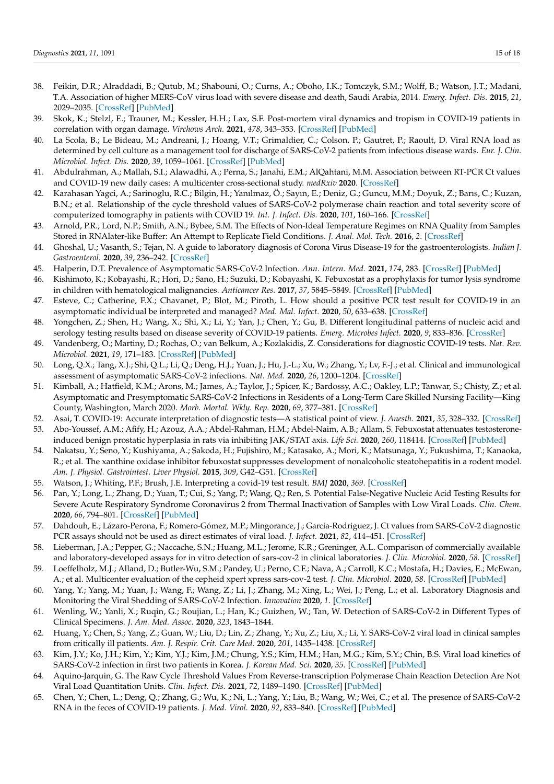- <span id="page-14-0"></span>38. Feikin, D.R.; Alraddadi, B.; Qutub, M.; Shabouni, O.; Curns, A.; Oboho, I.K.; Tomczyk, S.M.; Wolff, B.; Watson, J.T.; Madani, T.A. Association of higher MERS-CoV virus load with severe disease and death, Saudi Arabia, 2014. *Emerg. Infect. Dis.* **2015**, *21*, 2029–2035. [\[CrossRef\]](http://doi.org/10.3201/eid2111.150764) [\[PubMed\]](http://www.ncbi.nlm.nih.gov/pubmed/26488195)
- <span id="page-14-1"></span>39. Skok, K.; Stelzl, E.; Trauner, M.; Kessler, H.H.; Lax, S.F. Post-mortem viral dynamics and tropism in COVID-19 patients in correlation with organ damage. *Virchows Arch.* **2021**, *478*, 343–353. [\[CrossRef\]](http://doi.org/10.1007/s00428-020-02903-8) [\[PubMed\]](http://www.ncbi.nlm.nih.gov/pubmed/32815036)
- <span id="page-14-2"></span>40. La Scola, B.; Le Bideau, M.; Andreani, J.; Hoang, V.T.; Grimaldier, C.; Colson, P.; Gautret, P.; Raoult, D. Viral RNA load as determined by cell culture as a management tool for discharge of SARS-CoV-2 patients from infectious disease wards. *Eur. J. Clin. Microbiol. Infect. Dis.* **2020**, *39*, 1059–1061. [\[CrossRef\]](http://doi.org/10.1007/s10096-020-03913-9) [\[PubMed\]](http://www.ncbi.nlm.nih.gov/pubmed/32342252)
- <span id="page-14-3"></span>41. Abdulrahman, A.; Mallah, S.I.; Alawadhi, A.; Perna, S.; Janahi, E.M.; AlQahtani, M.M. Association between RT-PCR Ct values and COVID-19 new daily cases: A multicenter cross-sectional study. *medRxiv* **2020**. [\[CrossRef\]](http://doi.org/10.1101/2020.12.07.20245233)
- <span id="page-14-4"></span>42. Karahasan Yagci, A.; Sarinoglu, R.C.; Bilgin, H.; Yanılmaz, Ö.; Sayın, E.; Deniz, G.; Guncu, M.M.; Doyuk, Z.; Barıs, C.; Kuzan, B.N.; et al. Relationship of the cycle threshold values of SARS-CoV-2 polymerase chain reaction and total severity score of computerized tomography in patients with COVID 19. *Int. J. Infect. Dis.* **2020**, *101*, 160–166. [\[CrossRef\]](http://doi.org/10.1016/j.ijid.2020.09.1449)
- <span id="page-14-5"></span>43. Arnold, P.R.; Lord, N.P.; Smith, A.N.; Bybee, S.M. The Effects of Non-Ideal Temperature Regimes on RNA Quality from Samples Stored in RNAlater-like Buffer: An Attempt to Replicate Field Conditions. *J. Anal. Mol. Tech.* **2016**, *2*. [\[CrossRef\]](http://doi.org/10.13188/2474-1914.1000006)
- <span id="page-14-6"></span>44. Ghoshal, U.; Vasanth, S.; Tejan, N. A guide to laboratory diagnosis of Corona Virus Disease-19 for the gastroenterologists. *Indian J. Gastroenterol.* **2020**, *39*, 236–242. [\[CrossRef\]](http://doi.org/10.1007/s12664-020-01082-3)
- <span id="page-14-7"></span>45. Halperin, D.T. Prevalence of Asymptomatic SARS-CoV-2 Infection. *Ann. Intern. Med.* **2021**, *174*, 283. [\[CrossRef\]](http://doi.org/10.7326/L20-1282) [\[PubMed\]](http://www.ncbi.nlm.nih.gov/pubmed/33587876)
- <span id="page-14-8"></span>46. Kishimoto, K.; Kobayashi, R.; Hori, D.; Sano, H.; Suzuki, D.; Kobayashi, K. Febuxostat as a prophylaxis for tumor lysis syndrome in children with hematological malignancies. *Anticancer Res.* **2017**, *37*, 5845–5849. [\[CrossRef\]](http://doi.org/10.21873/anticanres.12028) [\[PubMed\]](http://www.ncbi.nlm.nih.gov/pubmed/28982910)
- <span id="page-14-9"></span>47. Esteve, C.; Catherine, F.X.; Chavanet, P.; Blot, M.; Piroth, L. How should a positive PCR test result for COVID-19 in an asymptomatic individual be interpreted and managed? *Med. Mal. Infect.* **2020**, *50*, 633–638. [\[CrossRef\]](http://doi.org/10.1016/j.medmal.2020.09.014)
- <span id="page-14-10"></span>48. Yongchen, Z.; Shen, H.; Wang, X.; Shi, X.; Li, Y.; Yan, J.; Chen, Y.; Gu, B. Different longitudinal patterns of nucleic acid and serology testing results based on disease severity of COVID-19 patients. *Emerg. Microbes Infect.* **2020**, *9*, 833–836. [\[CrossRef\]](http://doi.org/10.1080/22221751.2020.1756699)
- <span id="page-14-11"></span>49. Vandenberg, O.; Martiny, D.; Rochas, O.; van Belkum, A.; Kozlakidis, Z. Considerations for diagnostic COVID-19 tests. *Nat. Rev. Microbiol.* **2021**, *19*, 171–183. [\[CrossRef\]](http://doi.org/10.1038/s41579-020-00461-z) [\[PubMed\]](http://www.ncbi.nlm.nih.gov/pubmed/33057203)
- <span id="page-14-12"></span>50. Long, Q.X.; Tang, X.J.; Shi, Q.L.; Li, Q.; Deng, H.J.; Yuan, J.; Hu, J.-L.; Xu, W.; Zhang, Y.; Lv, F.-J.; et al. Clinical and immunological assessment of asymptomatic SARS-CoV-2 infections. *Nat. Med.* **2020**, *26*, 1200–1204. [\[CrossRef\]](http://doi.org/10.1038/s41591-020-0965-6)
- <span id="page-14-13"></span>51. Kimball, A.; Hatfield, K.M.; Arons, M.; James, A.; Taylor, J.; Spicer, K.; Bardossy, A.C.; Oakley, L.P.; Tanwar, S.; Chisty, Z.; et al. Asymptomatic and Presymptomatic SARS-CoV-2 Infections in Residents of a Long-Term Care Skilled Nursing Facility—King County, Washington, March 2020. *Morb. Mortal. Wkly. Rep.* **2020**, *69*, 377–381. [\[CrossRef\]](http://doi.org/10.15585/mmwr.mm6913e1)
- <span id="page-14-15"></span><span id="page-14-14"></span>52. Asai, T. COVID-19: Accurate interpretation of diagnostic tests—A statistical point of view. *J. Anesth.* **2021**, *35*, 328–332. [\[CrossRef\]](http://doi.org/10.1007/s00540-020-02875-8) 53. Abo-Youssef, A.M.; Afify, H.; Azouz, A.A.; Abdel-Rahman, H.M.; Abdel-Naim, A.B.; Allam, S. Febuxostat attenuates testosteroneinduced benign prostatic hyperplasia in rats via inhibiting JAK/STAT axis. *Life Sci.* **2020**, *260*, 118414. [\[CrossRef\]](http://doi.org/10.1016/j.lfs.2020.118414) [\[PubMed\]](http://www.ncbi.nlm.nih.gov/pubmed/32926929)
- <span id="page-14-16"></span>54. Nakatsu, Y.; Seno, Y.; Kushiyama, A.; Sakoda, H.; Fujishiro, M.; Katasako, A.; Mori, K.; Matsunaga, Y.; Fukushima, T.; Kanaoka, R.; et al. The xanthine oxidase inhibitor febuxostat suppresses development of nonalcoholic steatohepatitis in a rodent model. *Am. J. Physiol. Gastrointest. Liver Physiol.* **2015**, *309*, G42–G51. [\[CrossRef\]](http://doi.org/10.1152/ajpgi.00443.2014)
- <span id="page-14-17"></span>55. Watson, J.; Whiting, P.F.; Brush, J.E. Interpreting a covid-19 test result. *BMJ* **2020**, *369*. [\[CrossRef\]](http://doi.org/10.1136/bmj.m1808)
- <span id="page-14-18"></span>56. Pan, Y.; Long, L.; Zhang, D.; Yuan, T.; Cui, S.; Yang, P.; Wang, Q.; Ren, S. Potential False-Negative Nucleic Acid Testing Results for Severe Acute Respiratory Syndrome Coronavirus 2 from Thermal Inactivation of Samples with Low Viral Loads. *Clin. Chem.* **2020**, *66*, 794–801. [\[CrossRef\]](http://doi.org/10.1093/clinchem/hvaa091) [\[PubMed\]](http://www.ncbi.nlm.nih.gov/pubmed/32246822)
- <span id="page-14-19"></span>57. Dahdouh, E.; Lázaro-Perona, F.; Romero-Gómez, M.P.; Mingorance, J.; García-Rodriguez, J. Ct values from SARS-CoV-2 diagnostic PCR assays should not be used as direct estimates of viral load. *J. Infect.* **2021**, *82*, 414–451. [\[CrossRef\]](http://doi.org/10.1016/j.jinf.2020.10.017)
- <span id="page-14-20"></span>58. Lieberman, J.A.; Pepper, G.; Naccache, S.N.; Huang, M.L.; Jerome, K.R.; Greninger, A.L. Comparison of commercially available and laboratory-developed assays for in vitro detection of sars-cov-2 in clinical laboratories. *J. Clin. Microbiol.* **2020**, *58*. [\[CrossRef\]](http://doi.org/10.1128/JCM.00821-20)
- <span id="page-14-21"></span>59. Loeffelholz, M.J.; Alland, D.; Butler-Wu, S.M.; Pandey, U.; Perno, C.F.; Nava, A.; Carroll, K.C.; Mostafa, H.; Davies, E.; McEwan, A.; et al. Multicenter evaluation of the cepheid xpert xpress sars-cov-2 test. *J. Clin. Microbiol.* **2020**, *58*. [\[CrossRef\]](http://doi.org/10.1128/JCM.00926-20) [\[PubMed\]](http://www.ncbi.nlm.nih.gov/pubmed/32366669)
- <span id="page-14-22"></span>60. Yang, Y.; Yang, M.; Yuan, J.; Wang, F.; Wang, Z.; Li, J.; Zhang, M.; Xing, L.; Wei, J.; Peng, L.; et al. Laboratory Diagnosis and Monitoring the Viral Shedding of SARS-CoV-2 Infection. *Innovation* **2020**, *1*. [\[CrossRef\]](http://doi.org/10.1016/j.xinn.2020.100061)
- <span id="page-14-23"></span>61. Wenling, W.; Yanli, X.; Ruqin, G.; Roujian, L.; Han, K.; Guizhen, W.; Tan, W. Detection of SARS-CoV-2 in Different Types of Clinical Specimens. *J. Am. Med. Assoc.* **2020**, *323*, 1843–1844.
- <span id="page-14-24"></span>62. Huang, Y.; Chen, S.; Yang, Z.; Guan, W.; Liu, D.; Lin, Z.; Zhang, Y.; Xu, Z.; Liu, X.; Li, Y. SARS-CoV-2 viral load in clinical samples from critically ill patients. *Am. J. Respir. Crit. Care Med.* **2020**, *201*, 1435–1438. [\[CrossRef\]](http://doi.org/10.1164/rccm.202003-0572LE)
- <span id="page-14-25"></span>63. Kim, J.Y.; Ko, J.H.; Kim, Y.; Kim, Y.J.; Kim, J.M.; Chung, Y.S.; Kim, H.M.; Han, M.G.; Kim, S.Y.; Chin, B.S. Viral load kinetics of SARS-CoV-2 infection in first two patients in Korea. *J. Korean Med. Sci.* **2020**, *35*. [\[CrossRef\]](http://doi.org/10.3346/jkms.2020.35.e86) [\[PubMed\]](http://www.ncbi.nlm.nih.gov/pubmed/32080991)
- <span id="page-14-26"></span>64. Aquino-Jarquin, G. The Raw Cycle Threshold Values From Reverse-transcription Polymerase Chain Reaction Detection Are Not Viral Load Quantitation Units. *Clin. Infect. Dis.* **2021**, *72*, 1489–1490. [\[CrossRef\]](http://doi.org/10.1093/cid/ciaa830) [\[PubMed\]](http://www.ncbi.nlm.nih.gov/pubmed/32562539)
- <span id="page-14-27"></span>65. Chen, Y.; Chen, L.; Deng, Q.; Zhang, G.; Wu, K.; Ni, L.; Yang, Y.; Liu, B.; Wang, W.; Wei, C.; et al. The presence of SARS-CoV-2 RNA in the feces of COVID-19 patients. *J. Med. Virol.* **2020**, *92*, 833–840. [\[CrossRef\]](http://doi.org/10.1002/jmv.25825) [\[PubMed\]](http://www.ncbi.nlm.nih.gov/pubmed/32243607)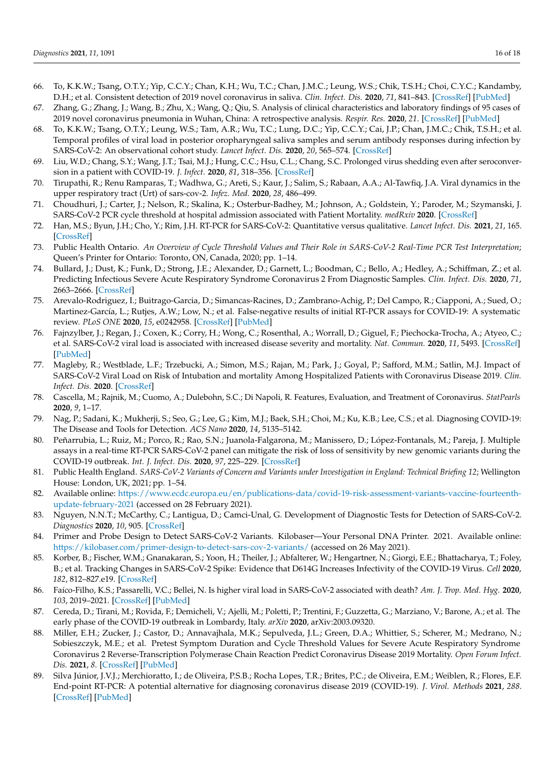- <span id="page-15-0"></span>66. To, K.K.W.; Tsang, O.T.Y.; Yip, C.C.Y.; Chan, K.H.; Wu, T.C.; Chan, J.M.C.; Leung, W.S.; Chik, T.S.H.; Choi, C.Y.C.; Kandamby, D.H.; et al. Consistent detection of 2019 novel coronavirus in saliva. *Clin. Infect. Dis.* **2020**, *71*, 841–843. [\[CrossRef\]](http://doi.org/10.1093/cid/ciaa149) [\[PubMed\]](http://www.ncbi.nlm.nih.gov/pubmed/32047895)
- <span id="page-15-1"></span>67. Zhang, G.; Zhang, J.; Wang, B.; Zhu, X.; Wang, Q.; Qiu, S. Analysis of clinical characteristics and laboratory findings of 95 cases of 2019 novel coronavirus pneumonia in Wuhan, China: A retrospective analysis. *Respir. Res.* **2020**, *21*. [\[CrossRef\]](http://doi.org/10.1186/s12931-020-01338-8) [\[PubMed\]](http://www.ncbi.nlm.nih.gov/pubmed/32216803)
- <span id="page-15-2"></span>68. To, K.K.W.; Tsang, O.T.Y.; Leung, W.S.; Tam, A.R.; Wu, T.C.; Lung, D.C.; Yip, C.C.Y.; Cai, J.P.; Chan, J.M.C.; Chik, T.S.H.; et al. Temporal profiles of viral load in posterior oropharyngeal saliva samples and serum antibody responses during infection by SARS-CoV-2: An observational cohort study. *Lancet Infect. Dis.* **2020**, *20*, 565–574. [\[CrossRef\]](http://doi.org/10.1016/S1473-3099(20)30196-1)
- <span id="page-15-3"></span>69. Liu, W.D.; Chang, S.Y.; Wang, J.T.; Tsai, M.J.; Hung, C.C.; Hsu, C.L.; Chang, S.C. Prolonged virus shedding even after seroconversion in a patient with COVID-19. *J. Infect.* **2020**, *81*, 318–356. [\[CrossRef\]](http://doi.org/10.1016/j.jinf.2020.03.063)
- <span id="page-15-4"></span>70. Tirupathi, R.; Renu Ramparas, T.; Wadhwa, G.; Areti, S.; Kaur, J.; Salim, S.; Rabaan, A.A.; Al-Tawfiq, J.A. Viral dynamics in the upper respiratory tract (Urt) of sars-cov-2. *Infez. Med.* **2020**, *28*, 486–499.
- <span id="page-15-5"></span>71. Choudhuri, J.; Carter, J.; Nelson, R.; Skalina, K.; Osterbur-Badhey, M.; Johnson, A.; Goldstein, Y.; Paroder, M.; Szymanski, J. SARS-CoV-2 PCR cycle threshold at hospital admission associated with Patient Mortality. *medRxiv* **2020**. [\[CrossRef\]](http://doi.org/10.1101/2020.09.16.20195941)
- <span id="page-15-6"></span>72. Han, M.S.; Byun, J.H.; Cho, Y.; Rim, J.H. RT-PCR for SARS-CoV-2: Quantitative versus qualitative. *Lancet Infect. Dis.* **2021**, *21*, 165. [\[CrossRef\]](http://doi.org/10.1016/S1473-3099(20)30424-2)
- <span id="page-15-7"></span>73. Public Health Ontario. *An Overview of Cycle Threshold Values and Their Role in SARS-CoV-2 Real-Time PCR Test Interpretation*; Queen's Printer for Ontario: Toronto, ON, Canada, 2020; pp. 1–14.
- <span id="page-15-8"></span>74. Bullard, J.; Dust, K.; Funk, D.; Strong, J.E.; Alexander, D.; Garnett, L.; Boodman, C.; Bello, A.; Hedley, A.; Schiffman, Z.; et al. Predicting Infectious Severe Acute Respiratory Syndrome Coronavirus 2 From Diagnostic Samples. *Clin. Infect. Dis.* **2020**, *71*, 2663–2666. [\[CrossRef\]](http://doi.org/10.1093/cid/ciaa638)
- <span id="page-15-9"></span>75. Arevalo-Rodriguez, I.; Buitrago-Garcia, D.; Simancas-Racines, D.; Zambrano-Achig, P.; Del Campo, R.; Ciapponi, A.; Sued, O.; Martinez-García, L.; Rutjes, A.W.; Low, N.; et al. False-negative results of initial RT-PCR assays for COVID-19: A systematic review. *PLoS ONE* **2020**, *15*, e0242958. [\[CrossRef\]](http://doi.org/10.1371/journal.pone.0242958) [\[PubMed\]](http://www.ncbi.nlm.nih.gov/pubmed/33301459)
- <span id="page-15-10"></span>76. Fajnzylber, J.; Regan, J.; Coxen, K.; Corry, H.; Wong, C.; Rosenthal, A.; Worrall, D.; Giguel, F.; Piechocka-Trocha, A.; Atyeo, C.; et al. SARS-CoV-2 viral load is associated with increased disease severity and mortality. *Nat. Commun.* **2020**, *11*, 5493. [\[CrossRef\]](http://doi.org/10.1038/s41467-020-19057-5) [\[PubMed\]](http://www.ncbi.nlm.nih.gov/pubmed/33127906)
- <span id="page-15-11"></span>77. Magleby, R.; Westblade, L.F.; Trzebucki, A.; Simon, M.S.; Rajan, M.; Park, J.; Goyal, P.; Safford, M.M.; Satlin, M.J. Impact of SARS-CoV-2 Viral Load on Risk of Intubation and mortality Among Hospitalized Patients with Coronavirus Disease 2019. *Clin. Infect. Dis.* **2020**. [\[CrossRef\]](http://doi.org/10.1093/cid/ciaa851)
- <span id="page-15-12"></span>78. Cascella, M.; Rajnik, M.; Cuomo, A.; Dulebohn, S.C.; Di Napoli, R. Features, Evaluation, and Treatment of Coronavirus. *StatPearls* **2020**, *9*, 1–17.
- <span id="page-15-13"></span>79. Nag, P.; Sadani, K.; Mukherji, S.; Seo, G.; Lee, G.; Kim, M.J.; Baek, S.H.; Choi, M.; Ku, K.B.; Lee, C.S.; et al. Diagnosing COVID-19: The Disease and Tools for Detection. *ACS Nano* **2020**, *14*, 5135–5142.
- <span id="page-15-14"></span>80. Peñarrubia, L.; Ruiz, M.; Porco, R.; Rao, S.N.; Juanola-Falgarona, M.; Manissero, D.; López-Fontanals, M.; Pareja, J. Multiple assays in a real-time RT-PCR SARS-CoV-2 panel can mitigate the risk of loss of sensitivity by new genomic variants during the COVID-19 outbreak. *Int. J. Infect. Dis.* **2020**, *97*, 225–229. [\[CrossRef\]](http://doi.org/10.1016/j.ijid.2020.06.027)
- <span id="page-15-15"></span>81. Public Health England. *SARS-CoV-2 Variants of Concern and Variants under Investigation in England: Technical Briefing 12*; Wellington House: London, UK, 2021; pp. 1–54.
- <span id="page-15-16"></span>82. Available online: [https://www.ecdc.europa.eu/en/publications-data/covid-19-risk-assessment-variants-vaccine-fourteenth](https://www.ecdc.europa.eu/en/publications-data/covid-19-risk-assessment-variants-vaccine-fourteenth-update-february-2021)[update-february-2021](https://www.ecdc.europa.eu/en/publications-data/covid-19-risk-assessment-variants-vaccine-fourteenth-update-february-2021) (accessed on 28 February 2021).
- <span id="page-15-17"></span>83. Nguyen, N.N.T.; McCarthy, C.; Lantigua, D.; Camci-Unal, G. Development of Diagnostic Tests for Detection of SARS-CoV-2. *Diagnostics* **2020**, *10*, 905. [\[CrossRef\]](http://doi.org/10.3390/diagnostics10110905)
- <span id="page-15-18"></span>84. Primer and Probe Design to Detect SARS-CoV-2 Variants. Kilobaser—Your Personal DNA Printer. 2021. Available online: <https://kilobaser.com/primer-design-to-detect-sars-cov-2-variants/> (accessed on 26 May 2021).
- <span id="page-15-19"></span>85. Korber, B.; Fischer, W.M.; Gnanakaran, S.; Yoon, H.; Theiler, J.; Abfalterer, W.; Hengartner, N.; Giorgi, E.E.; Bhattacharya, T.; Foley, B.; et al. Tracking Changes in SARS-CoV-2 Spike: Evidence that D614G Increases Infectivity of the COVID-19 Virus. *Cell* **2020**, *182*, 812–827.e19. [\[CrossRef\]](http://doi.org/10.1016/j.cell.2020.06.043)
- <span id="page-15-20"></span>86. Faíco-Filho, K.S.; Passarelli, V.C.; Bellei, N. Is higher viral load in SARS-CoV-2 associated with death? *Am. J. Trop. Med. Hyg.* **2020**, *103*, 2019–2021. [\[CrossRef\]](http://doi.org/10.4269/ajtmh.20-0954) [\[PubMed\]](http://www.ncbi.nlm.nih.gov/pubmed/32996443)
- <span id="page-15-21"></span>87. Cereda, D.; Tirani, M.; Rovida, F.; Demicheli, V.; Ajelli, M.; Poletti, P.; Trentini, F.; Guzzetta, G.; Marziano, V.; Barone, A.; et al. The early phase of the COVID-19 outbreak in Lombardy, Italy. *arXiv* **2020**, arXiv:2003.09320.
- <span id="page-15-22"></span>88. Miller, E.H.; Zucker, J.; Castor, D.; Annavajhala, M.K.; Sepulveda, J.L.; Green, D.A.; Whittier, S.; Scherer, M.; Medrano, N.; Sobieszczyk, M.E.; et al. Pretest Symptom Duration and Cycle Threshold Values for Severe Acute Respiratory Syndrome Coronavirus 2 Reverse-Transcription Polymerase Chain Reaction Predict Coronavirus Disease 2019 Mortality. *Open Forum Infect. Dis.* **2021**, *8*. [\[CrossRef\]](http://doi.org/10.1093/ofid/ofab003) [\[PubMed\]](http://www.ncbi.nlm.nih.gov/pubmed/33604401)
- <span id="page-15-23"></span>89. Silva Júnior, J.V.J.; Merchioratto, I.; de Oliveira, P.S.B.; Rocha Lopes, T.R.; Brites, P.C.; de Oliveira, E.M.; Weiblen, R.; Flores, E.F. End-point RT-PCR: A potential alternative for diagnosing coronavirus disease 2019 (COVID-19). *J. Virol. Methods* **2021**, *288*. [\[CrossRef\]](http://doi.org/10.1016/j.jviromet.2020.114007) [\[PubMed\]](http://www.ncbi.nlm.nih.gov/pubmed/33130151)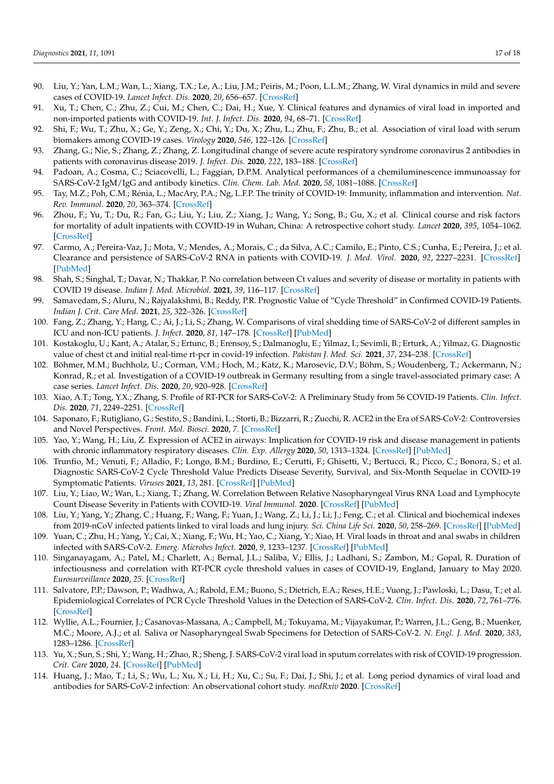- <span id="page-16-0"></span>90. Liu, Y.; Yan, L.M.; Wan, L.; Xiang, T.X.; Le, A.; Liu, J.M.; Peiris, M.; Poon, L.L.M.; Zhang, W. Viral dynamics in mild and severe cases of COVID-19. *Lancet Infect. Dis.* **2020**, *20*, 656–657. [\[CrossRef\]](http://doi.org/10.1016/S1473-3099(20)30232-2)
- <span id="page-16-1"></span>91. Xu, T.; Chen, C.; Zhu, Z.; Cui, M.; Chen, C.; Dai, H.; Xue, Y. Clinical features and dynamics of viral load in imported and non-imported patients with COVID-19. *Int. J. Infect. Dis.* **2020**, *94*, 68–71. [\[CrossRef\]](http://doi.org/10.1016/j.ijid.2020.03.022)
- <span id="page-16-2"></span>92. Shi, F.; Wu, T.; Zhu, X.; Ge, Y.; Zeng, X.; Chi, Y.; Du, X.; Zhu, L.; Zhu, F.; Zhu, B.; et al. Association of viral load with serum biomakers among COVID-19 cases. *Virology* **2020**, *546*, 122–126. [\[CrossRef\]](http://doi.org/10.1016/j.virol.2020.04.011)
- <span id="page-16-3"></span>93. Zhang, G.; Nie, S.; Zhang, Z.; Zhang, Z. Longitudinal change of severe acute respiratory syndrome coronavirus 2 antibodies in patients with coronavirus disease 2019. *J. Infect. Dis.* **2020**, *222*, 183–188. [\[CrossRef\]](http://doi.org/10.1093/infdis/jiaa229)
- <span id="page-16-4"></span>94. Padoan, A.; Cosma, C.; Sciacovelli, L.; Faggian, D.P.M. Analytical performances of a chemiluminescence immunoassay for SARS-CoV-2 IgM/IgG and antibody kinetics. *Clin. Chem. Lab. Med.* **2020**, *58*, 1081–1088. [\[CrossRef\]](http://doi.org/10.1515/cclm-2020-0443)
- 95. Tay, M.Z.; Poh, C.M.; Rénia, L.; MacAry, P.A.; Ng, L.F.P. The trinity of COVID-19: Immunity, inflammation and intervention. *Nat. Rev. Immunol.* **2020**, *20*, 363–374. [\[CrossRef\]](http://doi.org/10.1038/s41577-020-0311-8)
- <span id="page-16-22"></span>96. Zhou, F.; Yu, T.; Du, R.; Fan, G.; Liu, Y.; Liu, Z.; Xiang, J.; Wang, Y.; Song, B.; Gu, X.; et al. Clinical course and risk factors for mortality of adult inpatients with COVID-19 in Wuhan, China: A retrospective cohort study. *Lancet* **2020**, *395*, 1054–1062. [\[CrossRef\]](http://doi.org/10.1016/S0140-6736(20)30566-3)
- <span id="page-16-5"></span>97. Carmo, A.; Pereira-Vaz, J.; Mota, V.; Mendes, A.; Morais, C.; da Silva, A.C.; Camilo, E.; Pinto, C.S.; Cunha, E.; Pereira, J.; et al. Clearance and persistence of SARS-CoV-2 RNA in patients with COVID-19. *J. Med. Virol.* **2020**, *92*, 2227–2231. [\[CrossRef\]](http://doi.org/10.1002/jmv.26103) [\[PubMed\]](http://www.ncbi.nlm.nih.gov/pubmed/32484958)
- <span id="page-16-6"></span>98. Shah, S.; Singhal, T.; Davar, N.; Thakkar, P. No correlation between Ct values and severity of disease or mortality in patients with COVID 19 disease. *Indian J. Med. Microbiol.* **2021**, *39*, 116–117. [\[CrossRef\]](http://doi.org/10.1016/j.ijmmb.2020.10.021)
- <span id="page-16-7"></span>99. Samavedam, S.; Aluru, N.; Rajyalakshmi, B.; Reddy, P.R. Prognostic Value of "Cycle Threshold" in Confirmed COVID-19 Patients. *Indian J. Crit. Care Med.* **2021**, *25*, 322–326. [\[CrossRef\]](http://doi.org/10.5005/jp-journals-10071-23765)
- <span id="page-16-8"></span>100. Fang, Z.; Zhang, Y.; Hang, C.; Ai, J.; Li, S.; Zhang, W. Comparisons of viral shedding time of SARS-CoV-2 of different samples in ICU and non-ICU patients. *J. Infect.* **2020**, *81*, 147–178. [\[CrossRef\]](http://doi.org/10.1016/j.jinf.2020.03.013) [\[PubMed\]](http://www.ncbi.nlm.nih.gov/pubmed/32283153)
- <span id="page-16-10"></span>101. Kostakoglu, U.; Kant, A.; Atalar, S.; Ertunc, B.; Erensoy, S.; Dalmanoglu, E.; Yilmaz, I.; Sevimli, B.; Erturk, A.; Yilmaz, G. Diagnostic value of chest ct and initial real-time rt-pcr in covid-19 infection. *Pakistan J. Med. Sci.* **2021**, *37*, 234–238. [\[CrossRef\]](http://doi.org/10.12669/pjms.37.1.2956)
- <span id="page-16-11"></span>102. Böhmer, M.M.; Buchholz, U.; Corman, V.M.; Hoch, M.; Katz, K.; Marosevic, D.V.; Böhm, S.; Woudenberg, T.; Ackermann, N.; Konrad, R.; et al. Investigation of a COVID-19 outbreak in Germany resulting from a single travel-associated primary case: A case series. *Lancet Infect. Dis.* **2020**, *20*, 920–928. [\[CrossRef\]](http://doi.org/10.1016/S1473-3099(20)30314-5)
- <span id="page-16-12"></span>103. Xiao, A.T.; Tong, Y.X.; Zhang, S. Profile of RT-PCR for SARS-CoV-2: A Preliminary Study from 56 COVID-19 Patients. *Clin. Infect. Dis.* **2020**, *71*, 2249–2251. [\[CrossRef\]](http://doi.org/10.1093/cid/ciaa460)
- <span id="page-16-13"></span>104. Saponaro, F.; Rutigliano, G.; Sestito, S.; Bandini, L.; Storti, B.; Bizzarri, R.; Zucchi, R. ACE2 in the Era of SARS-CoV-2: Controversies and Novel Perspectives. *Front. Mol. Biosci.* **2020**, *7*. [\[CrossRef\]](http://doi.org/10.3389/fmolb.2020.588618)
- <span id="page-16-14"></span>105. Yao, Y.; Wang, H.; Liu, Z. Expression of ACE2 in airways: Implication for COVID-19 risk and disease management in patients with chronic inflammatory respiratory diseases. *Clin. Exp. Allergy* **2020**, *50*, 1313–1324. [\[CrossRef\]](http://doi.org/10.1111/cea.13746) [\[PubMed\]](http://www.ncbi.nlm.nih.gov/pubmed/32975865)
- <span id="page-16-9"></span>106. Trunfio, M.; Venuti, F.; Alladio, F.; Longo, B.M.; Burdino, E.; Cerutti, F.; Ghisetti, V.; Bertucci, R.; Picco, C.; Bonora, S.; et al. Diagnostic SARS-CoV-2 Cycle Threshold Value Predicts Disease Severity, Survival, and Six-Month Sequelae in COVID-19 Symptomatic Patients. *Viruses* **2021**, *13*, 281. [\[CrossRef\]](http://doi.org/10.3390/v13020281) [\[PubMed\]](http://www.ncbi.nlm.nih.gov/pubmed/33670360)
- <span id="page-16-15"></span>107. Liu, Y.; Liao, W.; Wan, L.; Xiang, T.; Zhang, W. Correlation Between Relative Nasopharyngeal Virus RNA Load and Lymphocyte Count Disease Severity in Patients with COVID-19. *Viral Immunol.* **2020**. [\[CrossRef\]](http://doi.org/10.1089/vim.2020.0062) [\[PubMed\]](http://www.ncbi.nlm.nih.gov/pubmed/32297828)
- <span id="page-16-16"></span>108. Liu, Y.; Yang, Y.; Zhang, C.; Huang, F.; Wang, F.; Yuan, J.; Wang, Z.; Li, J.; Li, J.; Feng, C.; et al. Clinical and biochemical indexes from 2019-nCoV infected patients linked to viral loads and lung injury. *Sci. China Life Sci.* **2020**, *50*, 258–269. [\[CrossRef\]](http://doi.org/10.1007/s11427-020-1643-8) [\[PubMed\]](http://www.ncbi.nlm.nih.gov/pubmed/32048163)
- 109. Yuan, C.; Zhu, H.; Yang, Y.; Cai, X.; Xiang, F.; Wu, H.; Yao, C.; Xiang, Y.; Xiao, H. Viral loads in throat and anal swabs in children infected with SARS-CoV-2. *Emerg. Microbes Infect.* **2020**, *9*, 1233–1237. [\[CrossRef\]](http://doi.org/10.1080/22221751.2020.1771219) [\[PubMed\]](http://www.ncbi.nlm.nih.gov/pubmed/32419639)
- <span id="page-16-17"></span>110. Singanayagam, A.; Patel, M.; Charlett, A.; Bernal, J.L.; Saliba, V.; Ellis, J.; Ladhani, S.; Zambon, M.; Gopal, R. Duration of infectiousness and correlation with RT-PCR cycle threshold values in cases of COVID-19, England, January to May 2020. *Eurosurveillance* **2020**, *25*. [\[CrossRef\]](http://doi.org/10.2807/1560-7917.ES.2020.25.32.2001483)
- <span id="page-16-18"></span>111. Salvatore, P.P.; Dawson, P.; Wadhwa, A.; Rabold, E.M.; Buono, S.; Dietrich, E.A.; Reses, H.E.; Vuong, J.; Pawloski, L.; Dasu, T.; et al. Epidemiological Correlates of PCR Cycle Threshold Values in the Detection of SARS-CoV-2. *Clin. Infect. Dis.* **2020**, *72*, 761–776. [\[CrossRef\]](http://doi.org/10.1093/cid/ciaa1469)
- <span id="page-16-19"></span>112. Wyllie, A.L.; Fournier, J.; Casanovas-Massana, A.; Campbell, M.; Tokuyama, M.; Vijayakumar, P.; Warren, J.L.; Geng, B.; Muenker, M.C.; Moore, A.J.; et al. Saliva or Nasopharyngeal Swab Specimens for Detection of SARS-CoV-2. *N. Engl. J. Med.* **2020**, *383*, 1283–1286. [\[CrossRef\]](http://doi.org/10.1056/NEJMc2016359)
- <span id="page-16-20"></span>113. Yu, X.; Sun, S.; Shi, Y.; Wang, H.; Zhao, R.; Sheng, J. SARS-CoV-2 viral load in sputum correlates with risk of COVID-19 progression. *Crit. Care* **2020**, *24*. [\[CrossRef\]](http://doi.org/10.1186/s13054-020-02893-8) [\[PubMed\]](http://www.ncbi.nlm.nih.gov/pubmed/32326952)
- <span id="page-16-21"></span>114. Huang, J.; Mao, T.; Li, S.; Wu, L.; Xu, X.; Li, H.; Xu, C.; Su, F.; Dai, J.; Shi, J.; et al. Long period dynamics of viral load and antibodies for SARS-CoV-2 infection: An observational cohort study. *medRxiv* **2020**. [\[CrossRef\]](http://doi.org/10.1101/2020.04.22.20071258)